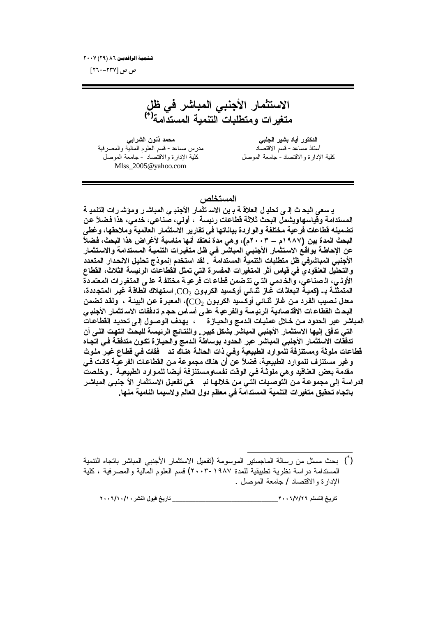تسفعية الرافديـن ٨٦ (٢٩) ٢٠٠٧

ص ص [۲۳۷–۲٦۰]

الاستثمار الأجنب*ى* المباشر ف*ى* ظل م**تغير**ات ومتطلبات التنمية المستدامة<sup>(\*)</sup>

**ƑŕŒŧŬƃŒƇƍƈŦťƆšƆ ƑŕƄŞƃŒŧƒŬŕťœƒŊŧƍřƂťƃŒ** أستاذ مساعد - قسم الاقتصاد<br>لإدارة والاقتصاد - جامعة الموصل<br>لإدارة والاقتصاد - جامعة الموصل [Mlss\\_2005@yahoo.com](mailto:Mlss_2005@yahoo.com)

كلية الإدارة والاقتصاد - جامعة الموصل

#### ا**لمستخلص** ،

يـ سعى البحـ ث إلـ ي تحليـ ل الـعلاقـ ـة بـ ين الاســ تثمـار الأجنبـ ي المبـاشـ ر وموشـ ر ات التنميـ ـة المستدامة وقياسهاويشمل البحث ثلاثة قطاعات رئيسة ، أولى، صناعي، خدمي، هذا فضلاً عن تضمينه قطاعات فرعية مختلفة والواردة بياناتها في تقارير الاستثمار العالمية وملاحقها، وغط*ى* **البحث المدة بين (١٩٨٧م ــ ٢٠٠٣م)، وهي مدة نعتقد أنها مناسبة لأغراض هذا البحث، فضلاً** عن الإحاطـة بواقـع الاستثمار الأجنبـي المباشـر فـي ظـل متغيـرات التنميـة المستدامـة والاستثمار **الأجنبي المباشرفي ظل متطلبات التنمية المستدامة . لقد استخدم إنموذج تحليل الانحدار المتعدد** والتحليل العنقودي في قياس أثر المتغيرات المفسرة التى تمثل القطاعات الرئيسة الثلاث، القطاع الأولـى، الـ صناعي، والـذـدمي الدّي تدّضمن قطاعـات فرعيـة مختلفـة علـي المتغيـرات المعتمـدة المتمثلــة بــ (كميــة انبعاثـات غـاز ثـْـائـى أوكسيد الكربـون  $\rm CO_2$ , اسـتـهلاك الطاقــة غيـر المتجـددة، معدل نـصيب الفرد مـن غـاز نثــائـي أوكسيد الكربـون 20<sub>.2</sub>)، المعبـرة عن البيئــة ، ولقد تـضمن البحث القطاعـات الاقتـصاديـة الرئيـسة والفرعيـة علـى أسـاس حجـم تـدفقات الاسـتثمار الأجنبـى المباشر عبر الحدود من خلال عمليات الدمج والحيازة ، بهدف الوصول إلى تحديد القطاعات التي تدفق إليها الاستثمار الأجنبي المباشر بشكل كبير . والنتائج الرئيسة للبحث انتهت الل*ي* أن تدفقات الاستثمار الأجنب*ى* المباشر عبر الحدود بوساطة الدمج والحيازة تكون متدفقة ف*ى* اتجاه قطاعات ملوثة ومستنزفة للموارد الطبيعية وف*ي* ذات الحالـة هنـاك تـد فقات فـي قطـاع غيـر ملـوث وغير مستنزف للموارد الطبيعية، فضلاً عن أن هناك مجموعة من القطاعات الفرعيـة كانـت ف*ـى* مقدمة بعض العناقيد وهي ملوثـة فـي الوقت نفسـومستنز.فة أيـضا للمـوارد الطبيعيـة . وخلـصت الدراسة إلى مجموعة من التوصيات التّ*ى من خ*لالها ند قى تفعيل الاستثمار الأ جنبي المباشر باتجاه تحقيق متغيرات التنمية المستدامة ف*ي* معظم دول العالم ولاسيما النامية منها.

**ÏÍÍÓ/ÎÍ/ÎÍŧŬƈƃŒ¾ƍŕſţƒŧœř \_\_\_\_\_\_\_\_\_\_\_\_\_\_\_\_\_\_\_\_\_\_\_\_\_\_\_\_\_\_\_\_ÏÍÍÓ/Ô/ÏÓƅƄŪřƃŒţƒŧœř**

<sup>(&</sup>lt;sup>\*</sup>) بحث مسنل من رسالة الماجسنير الموسومة (نفعيل الاستثمار الأجنبي المباشر باتجاه النتمية المستدامة در اسة نظرية تطبيقية للمدة ١٩٨٧-٢٠٠٣) قسم العلوم المالية والمصر فية ، كلية الإدارة والاقتصاد / جامعة الموصل .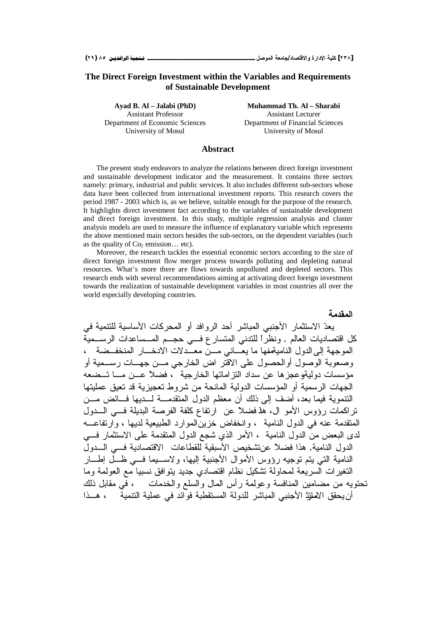#### **The Direct Foreign Investment within the Variables and Requirements of Sustainable Development**

Department of Economic Sciences Department of Financial Sciences

**Ayad B. Al – Jalabi (PhD) Muhammad Th. Al – Sharabi** Assistant Professor Assistant Lecturer University of Mosul University of Mosul

#### **Abstract**

The present study endeavors to analyze the relations between direct foreign investment and sustainable development indicator and the measurement. It contains three sectors namely: primary, industrial and public services. It also includes different sub-sectors whose data have been collected from international investment reports. This research covers the period 1987 - 2003 which is, as we believe, suitable enough for the purpose of the research. It highlights direct investment fact according to the variables of sustainable development and direct foreign investment. In this study, multiple regression analysis and cluster analysis models are used to measure the influence of explanatory variable which represents the above mentioned main sectors besides the sub-sectors, on the dependent variables (such as the quality of  $Co<sub>2</sub>$  emission... etc).

Moreover, the research tackles the essential economic sectors according to the size of direct foreign investment flow merger process towards polluting and depleting natural resources. What's more there are flows towards unpolluted and depleted sectors. This research ends with several recommendations aiming at activating direct foreign investment towards the realization of sustainable development variables in most countries all over the world especially developing countries.

المقدمة يعدّ الاستثمار الأجنبي المباشر أحد الروافد أو المحركات الأساسية للتتمية في كل اقتصاديات العالم . ونظرًا للتدني المتسار ع فـــي حجـــم المـــساعدات الرســـمية الموجهة إلى الدول النامية فها ما يعَّــاني مـــن معــّدلات الادخـــار المنخفــضـة ، وصعوبة الوصول أو الحصول على الاقتر اض الخارجي مــن جهــات رســمية أو مؤسسات دوليةوعجزها عن سداد النزاماتها الخارجية ب فضلاً عـــن مـــا تـــضعه الجهات الرسمية أو المؤسسات الدولية المانحة من شروط تعجيزية قد تعيق عمليتها النتموية فيما بعد، أضف إلى ذلك أن معظم الدول المتقدمـــة لـــديها فـــائض مـــن تراكمات رؤوس الأمو ال، هذفضلاً عن ارتفاع كلفة الفرصة البديلة فــي الـــدول المنقدمة عنه في الدول النامية ، وانخفاض خزين الموارد الطبيعية لديها ، وارتفاعـــه لدى البعض من الدول النامية ، الأمر الذي شجع الدول المتقدمة على الاستثمار فسي الدول النامية. هذا فضلاً عنتشخيص الأسبقية للقطاعات الاقتصادية فـــى الـــدولُ النامية التبي بتم توجيه رؤوس الأموال الأجنبية إليها، ولاســـيما فـــي ظـــل إطـــار التغيرات السريعة لمحاولة تشكيل نظام اقتصادي جديد بتوافق نسبيا مع العولمة وما تحتويه من مضامين المنافسة وعولمة رأس المال والسلع والخدمات ، في مقابل ذلك أن يحقق الاملز: الأجنبي المباشر للدولة المستقطبة فوائد في عملية التنمية ، هــذا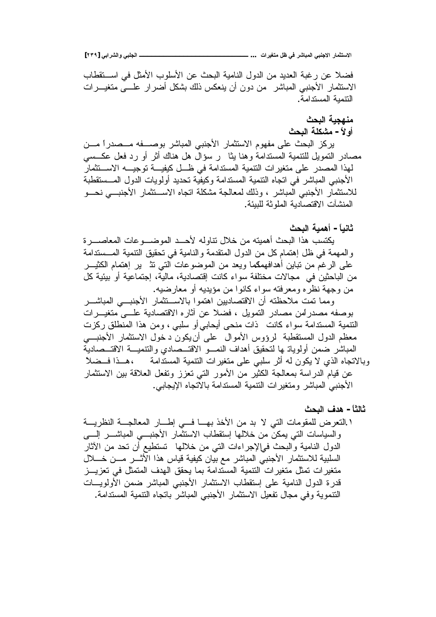**[ÏÐÖ] ƑŕŒŧŬƃŒƍƑŕƄŞƃŒººººººººººººººººººººººººººº ... ŘŒŧƒźřƆ¾ŲƑżŧŬœŕƆƃŒƑŕƈŞƙŒŧœƆśřŪƙŒ**

فضلا عن رغبة العديد من الدول النامية البحث عن الأسلوب الأمثل في استقطاب الاستثمار الأجنبي المباشر من دون أن ينعكس ذلك بشكل أضرار علـــي متغيـــرات النتمدة المستدامة.

## منهجية البحث أو لأ – مشكلة البحث

يركز البحث على مفهوم الاستثمار الأجنبي المباشر بوصـــفه مـــصدراً مـــن مصادر النمويل للنتمية المستدامة وهنا يثا ر سؤال هل هناك أثر أو رد فعل عكـــسي لهذا المصدر على متغيرات التنمية المستدامة في ظـــل كيفيــــة توجيــــه الاســـتثمار الأجنبي المباشر في اتجاه النتمية المستدامة وكيفية تحديد أولويات الدول المـــستقطبة للاستثمار الأجنبي المباشر ، وذلك لمعالجة مشكلة اتجاه الاســتثمار الأجنبـــي نحـــو المنشآت الاقتصادية الملوثة للبيئة.

## **ŚšŕƃŒŗƒƆƋŊ -Ĺœƒƈœś**

يكتسب هذا البحث أهميته من خلال نتاوله لأحــد الموضـــوعات المعاصــــرة والمهمة في ظل إهتمام كل من الدول المتقدمة والنامية في تحقيق التتمية المـــستدامة علَّى الرغم من نباين أهدافهمكما ويعد من الموضوعات الَّتبي ننْه ير إهتمام الكثيــــر من الباحثين في مجالات مختلفة سواء كانت إقتصادية، مالية، إجتماعية أو بيئية كل من وجهة نظره ومعرفته سواء كانوا من مؤيديه أو معارضيه.

ومما نمت ملاحظته أن الاقتصاديين اهتموا بالاســنثمار الأجنبـــى المباشـــر بوصفه مصدر لَمن مصادر النمويل ، فضلا عن أثاره الاقتصادية علـــي متغيـــرات التتمية المستدامة سواء كانت ذات منحي أيحابي أو سلبي ، ومن هذا المنطلق ركزت معظم الدول المستقطبة لرؤوس الأموال على أن يكون د خول الاستثمار الأجنبـــي المباشر ضمن أولوياتـ ها لتحقيق أهداف النمـــو الاقتـــصـادية الاقتـــصـادية وبالاتجاه الذي لا يكون له أثر سلبي على متغيرات التنمية المستدامة ،هــذا فــضلاً عن قيام الدراسة بمعالجة الكثير من الأمور التي تعزز ونفعل العلاقة بين الاستثمار الأجنبي المباشر ومتغيرات النتمية المستدامة بالاتجاه الإيجابي.

## **ŚšŕƃŒŻťƋ -Ĺœśƃœś**

٬ التعرض للمقومات التي لا بد من الأخذ بهـــا فـــي إطــــار المعالجـــة النظريـــة والسياسات التي يمكن من خلالها إستقطاب الاستثمار الأجنبسي المباشسر إلسي الدول النامية والبحث فىإلإجراءات التى من خلالها تستطيع أن تحد من الأثار السلبية للاستثمار الأجنبي المباشر مع بيان كيفية قياس هذا الأثـــر مـــن خــــلال متغيرات تمثل متغيرات النتمية المستدامة بما يحقق الهدف المتمثل في تعزيـــز قدرة الدول النامية على إستقطاب الاستثمار الأجنبي المباشر ضمن الأولويـــات النتموية وفي مجال تفعيل الاستثمار الأجنبي المباشر باتجاه النتمية المستدامة.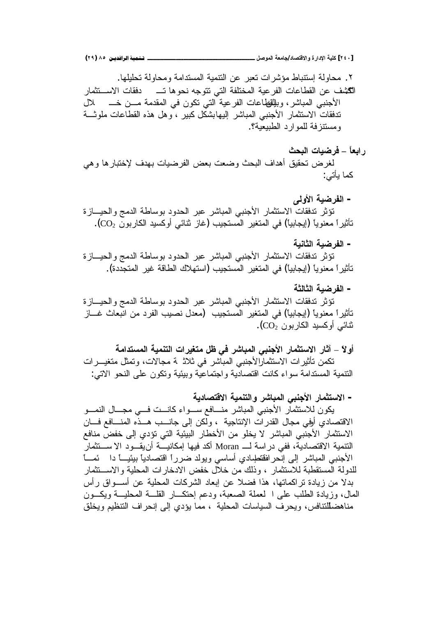٢. محاولة استتباط مؤشرات تعبر عن التتمية المستدامة ومحاولة تحليلها. ũŕƈŝś»ŬƛŔŚŕƂžŧ »śŕƍƏţƊƌŠƏśśƓśƅŔřſƆśŦƈƅŔřƔŷũſƅŔŚŕŷŕųƂƅŔƉŷŽŮƄƅŔ .Ñ الأجنبي المباشر، وبلِلفظاعات الفرعية التي نكون في المقدمة مــن خـــــــــــلل تدفقات الاستثمار الأجنبي المباشر إليهابشكل كبير ، وهل هذه القطاعات ملوثـــة و مسنتز فة للمو ار د الطبيعية؟.

- **ŚšŕƃŒŘœƒŰŧż – ĹœŶŕŒŧ** لغرض تحقيق اهداف البحث وضعت بعض الفرضيات بهدف لإختبارها وهي کما يأتي:
- **ƏƃƍƕŒŗƒŰŧŽƃŒ -** تؤثر تدفقات الاستثمار الأجنبي المباشر عبر الحدود بوساطة الدمج والحيسازة تأثيرا معنويا (إيجابيا) في المتغير المستجيب (غاز نثائي أوكسيد الكاربون CO2).
	- الفر **ضب**ة الثانبة

تؤثر تدفقات الاستثمار الأجنبي المباشر عبر الحدود بوساطة الدمج والحيـــازة تأثيراً معنوياً (إيجابياً) في المتغير المستجيب (استهلاك الطاقة غير المتجددة).

– ا**لفر ضب**ة الثالثة

تؤثر تنفقات الاستثمار الأجنبي المباشر عبر الحدود بوساطة الدمج والحيسازة تأثيراً معنوياً (إيجابياً) في المتغير المستجيب (معدل نصبيب الفرد من انبعاث غــــاز شائے ،أو كسيد الكار بو ن $\rm (CO_{2}$  .

أولاً – آثار الاستثمار الأجنبي المباشر في ظل متغيرات التنمية المستدامة تكمن تأثيرات الاستثمارالأجنبي المباشر في ثلاثر ة مجالات، وتمثل متغيـــرات النتمية المستدامة سواء كانت اقتصادية واجتماعية وبيئية وتكون على النحو الاتي:

**ŗƒťœŮřſƙŒŗƒƆƈřƃŒƍŧŬœŕƆƃŒƑŕƈŞƕŒ ŧœƆśřŪƙŒ -**

يكون للاستثمار الأجنبي المباشر منـــافع ســـواء كانـــت فـــي مجـــال النمـــو الاقتصادي أوفي مجال القدرات الإنتاجية ، ولكن إلى جانـــب هـــذه المنــــافع فـــان الاستثمار الأجنبي المباشر لا يخلو من الأخطار البيئية التي تؤدي إلى خفض منافع النتمية الاقتصادية، ففي دراسة لــــ Moran أكد فيها إمكانيــــة أنيقــــود الاســــتثمار الأجنبي المباشر إلى إنحرافققطبادي أساسي ويولد ضرراً اقتصادياً بيئيــــا دا ئمــــاً للدولة المستقطبة للاستثمار ، وذلك من خلال خفض الادخار ات المحلبة و الاســـتثمار بدلا من زيادة تراكماتها، هذا فضلا عن إبعاد الشركات المحلية عن أســـواق رأس المال، وزبادة الطلب على العملة الصعبة، ودعم احتكار القلسة المحلبة وبكون مناهضللنتافس، ويحرف السياسات المحلية ، مما يؤدي إلىي إنحراف النتظيم ويخلق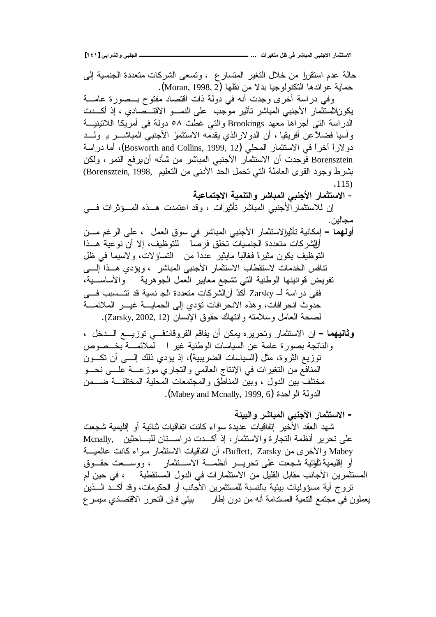**[ÏÑÎ] ƑŕŒŧŬƃŒƍƑŕƄŞƃŒººººººººººººººººººººººººººº ... ŘŒŧƒźřƆ¾ŲƑżŧŬœŕƆƃŒƑŕƈŞƙŒŧœƆśřŪƙŒ**

حالة عدم استقررا من خلال التغير المتسار ع ، وتسعى الشركات متعددة الجنسية إلى حماية عو ائدها النكنولوجيا بدلا من نقلها (Moran, 1998, 2). وفي دراسة أخرى وجدت أنه في دولة ذات اقتصاد مفتوح بــصورة عامـــة يكون\لسنثمار الأجنبي المباشر تأثير موجب على النمـــو الاقتـــصـادي ، إذ أكـــدت الدراسة التي أجراها معهد Brookings والتي غطت ٥٨ دولة في أمريكا اللاتينيـــة وأسيا فضلاعن أفريقيا ، أن الدولارالذي يقدمه الاستثمل الأجنبي المباشــــر بـ ولــــد دو لاراً آخراً في الاستثمار المحلي (Bosworth and Collins, 1999, 12)، أما دراسة Borensztein فوجدت أن الاستثمار الأجنبي المباشر من شأنه أن يرفع النمو ، ولكن بشرط وجود القوى العاملة التي تحمل الحد الأدنى من التعليم ,Borensztein, 1998) .115) **ŗƒŵœƆřŞƙŒŗƒƆƈřƃŒƍŧŬœŕƆƃŒƑŕƈŞƕŒ ŧœƆśřŪƙŒ** - إن للاستثمار الأجنبي المباشر نأثيرات ، وقد اعتمدت هـــذه المــــؤثرات فــــي مجالين . أ**ولهها** – إمكانية تأثيرالاستثمار الأجنبي المباشر في سوق العمل ، على الرغم مـــن أرالشر كات متعددة الجنسيات تخلق فر صـاً للتو ظيف، إلا أن نو عية هـــذا التوظيف يكون مثير! فغالباً مايثير عدداً من النساؤلات، ولاسيما في ظل تنافس الخدمات لاستفطاب الاستثمار الأجنبي المباشر ، ويؤدي هــذا إلـــي تفويض قوانينها الوطنية التي تشجع معايير العمل الجوهرية والأساســـية، ففي در اسة لــ Zarsky أكدٌ أنالشركات متعددة الج نسية قد تتـــسبب فـــي حدوث انحرافات، وهذه الانحرافات نؤدي إلى الحمايــــة غيــــر الملائمــــة لصحة العامل وسلامته وانتهاك حقوق الإنسان (Zarsky, 2002, 12). **وثانيهما** – إن الاستثمار وتحريره يمكن أن يفاقم الفروقاتـفــي توزيـــع الـــدخل ، والناتجة بصورة عامة عن السياسات الوطنية غير المملائمـــة بخــصوص توزيع الثروة، مثل (السياسات الضريبية)، إذ يؤدي ذلك إلــــي أن تكـــون

مختلف بين الدول ، وبين المناطق والمجتمعات المحلية المختلفــة ضـــمن .(Mabey and Mcnally, 1999, 6) ألدولة الواحدة

المنافع من التغيرات في الإنتاج العالمي والتجاري موزعــة علـــى نحـــو

– الاستثمار الأ**جنب**ي المباشر والبيئة شهد العقد الأخير إتفاقيات عديدة سواء كانت اتفاقيات ثنائية أو إقليمية شجعت على نحرير أنظمة النجارة والاستثمار، إذ أكــدت دراســـنان للبـــاحثين Mcnally, Kabey والأخرى من Buffett, Zarsky، أن انفاقيات الاستثمار سواء كانت عالميـــة أو إقليمية ثأوائية شجعت على نحريــــر أنظمــــة الاســـنثمـار ، ووســــعت حقـــوق المستثمرين الأجانب مقابل القليل من الاستثمارات في الدول المستقطبة ، في حين لم تروج أية مسؤوليات ببيئية بالنسبة للمستثمرين الأجانب أو الحكومات، وقد أكــد الــــذين يعملون في مجتمع التتمية المستدامة أنه من دون إطار بيئي فـإن التحرر الاقتصادي سيسر ع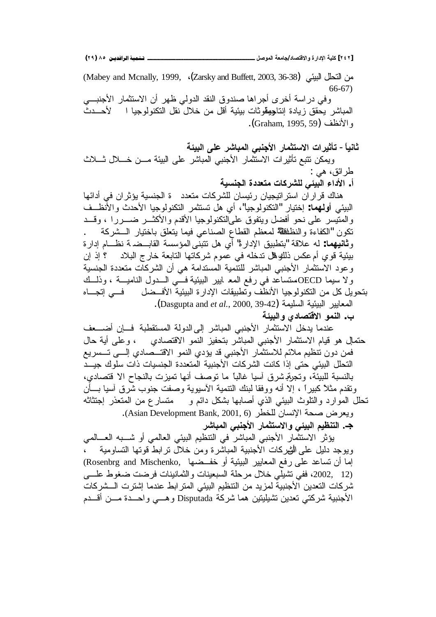**(ÏÖ) ÕÒ ÞNë¢Ë¦×ìÜàN**66666666666666666666666666666666666666666666666666666666666666666666666666666666666666666666666666**¾ŮƍƆƃŒŗŶƆœŞ/ťœŮřſƙŒƍ ŖŧŒťƗŒŗƒƄƂ [ÏÑÏ]**

من التحلل البيئي (Mabey and Mcnally, 1999, ، (Zarsky and Buffett, 2003, 36-38) 66-67) وفي دراسة أخرى أجراها صندوق النقد الدولي ظهر أن الاستثمار الأجنبـــي المباشر يحقق زيادة إنتاجهقوثات بيئية أقل من خلال نقل التكنولوجيا ا لأحـــدث , الأنظف (Graham, 1995, 59). ثانياً – تأثيرات الاستثمار الأجنب*ي* المباشر على البيئة وبِمكن نتبع تأثيرات الاستثمار الأجنبي المباشر على البيئة مـــن خــــلل ثــــلاث طر ائق، هي : أ. الأداء البيئي للشركات متعددة الجنسية هناك فراران استراتيجيان رئيسان للشركات متعدد \_ة الجنسية يؤثران في أدائها البيئي أ**ولهم**ا: إختيار "التكنولوجيا"، أي هل تستثمر التكنولوجيا الأحدث والأنظــف والمتيسر على نحو أفضل ويتفوق علىالتكنولوجيا الأقدم والأكثـــر ضـــررا ، وقـــد نكون "الكفاءة والنظلظلة لمعظم القطاع الصناعبي فيما يتعلق باختيار الــشركة و**ثانيهما**: له علاقة "بتطبيق الإدارة" أي هل نتبني المؤسسة القابــضدة نظـــام إدارة بيئية قوي أم عكس ذلك فل تنخله في عموم شركاتها التابعة خارج البلاد ؟ إذ إن وعود الاستثمار الأجنبي المباشر للتتمية المستدامة هي أن الشركات متعددة الجنسية ولا سيما OECDمستساعد في رفع المع ابير البيئية فسي السدول الناميسة ، وذلسك بتحو بل كل من التكنو لو جبا الأنظف و تطبيقات الإدار ة البيئية الأفـــضل فـــي اتجـــاه المعايير البيئية السليمة (Dasgupta and *et al*., 2000, 39-42). ب. النمو الاقتصا*دى* والبيئة عندما يدخل الاستثمار الأجنبي المباشر إلى الدولة المستقطبة فسإن أضسعف حتمالٍ هو قيام الاستثمار الأجنبي المباشر بتحفيز النمو الاقتصادي ، وعلى أية حال فمن دون تُنظيم ملائم للاستثمار الأجنبي قد يؤدي النمو الاقتـــصـادي إلــــي تـــسريع النحلل البيئي حتى إذا كانت الشركات الأجنبية المتعددة الجنسيات ذات سلوك جيـــد بالنسبة للبيئة، وتجربخ شرق أسيا غالباً ما توصف أنها تميزت بالنجاح الا قتصادي، ونقدم مثلاً كبيراً ، إلا أنه ووفقا لبنك النتمية الأسيوية وصفت جنوب شرق أسيا بـــأن تحلل الموارد والنلوث البيئي الذي أصابها بشكل دائم و منسارع من المنعذر إجتثاثه . ويعرض صحة الإنسان للخطر (Asian Development Bank, 2001, 6). جـ. التنظيم البيئي والاستثمار الأجنبي المباشر يؤثر الاستثمار الأجنبي المباشر في النتظيم البيئي العالمي أو شــبه العـــالمي

ويوجد دليل على الثيركات الأجنبية المباشرة ومن خلال ترابط قوتها التساومية إما أن تساعد على رفع المعابير البيئية أو خفــضها ,Rosenbrg and Mischenko (12 2002، ففي تشيلي خلال مرحلة السبعينات والثمانينات فرضت ضغوط علسي شركات التعدين الأجنبية لمزيد من التنظيم البيئي المترابط عندما إشترت السشركات الأجنبية شركتي تعدين تشيليتين هما شركة Disputada وهـــي واحـــدة مـــن أقـــدم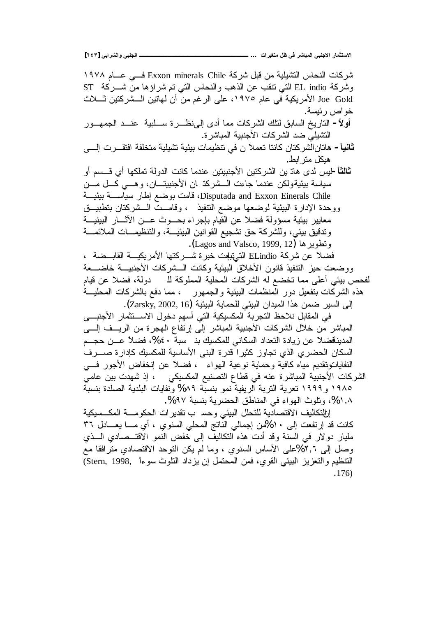**[ÏÑÐ] ƑŕŒŧŬƃŒƍƑŕƄŞƃŒººººººººººººººººººººººººººº ... ŘŒŧƒźřƆ¾ŲƑżŧŬœŕƆƃŒƑŕƈŞƙŒŧœƆśřŪƙŒ**

شركات النحاس التشيلية من قبل شركة Exxon minerals Chile فـــي عـــام ١٩٧٨ ST وشركة EL indio التي نتقب عن الذهب والنحاس التي تم شراؤها من شـــركة ـــ Joe Gold الأمريكية في عام ١٩٧٥، على الرغم من أن لهاتين الــشركتين ثـــلاث خو اص ر ئيسة. أولأ- الناريخ السابق لتلك الشركات مما أدى إلىiظـــرة ســـلبية عنـــد الجمهـــور التثنيلي ضد الشركات الأجنبية المباشرة. **ثاني**اً – هاتانالشركتان كانتا تعملا ن في نتظيمات بيئية تشيلية متخلفة افتقــــرت الِـــــى هيكل متر ابط. <del>ثالثاً</del> –ليس لدى هاتـ ين الشركتين الأجنبيتين عندما كانت الدولة تملكها أي قـــسم أو سياسة بيئيةولكن عندما جاءت الـــشركذ ان الأجنبيتـــان، وهـــي كـــل مـــن ř»ƔœƔŗř»ŬŕƔŬũŕųŏŶŲƏŗŚƈŕƁDisputada and Exxon Einerals Chile ووحدة الإدارة البيئية لوضعها موضع النتفيذ ، وقامــت الــشركتان بتطبيــق معابير بيئية مسؤولة فضلا عن القيام بإجراء بحـــوث عـــن الأثــــار البيئيـــة وندقيق بيئي، وللشركة حق تشجيع القوانين البيئيـــة، والتنظيمـــات الملائمــــة و نطوير ها (Lagos and Valsco, 1999, 12). فضلا عن شركة ELindio التـهتلوت خبرة شـــركتها الأمريكيـــة القابـــضة ، ووضعت حيز التنفيذ قانون الأخلاق البيئية وكانت الــشركات الأجنبيـــة خاضــــعة لفحص بيئي أعلى مما تخضع له الشركات المحلية المملوكة للـ دولة، فضلا عن قيام هذه الشركات بتفعيل دور المنظمات البيئية والجمهور ، مما دفع بالشركات المحليـــة الي السير ضمن هذا الميدان البيئي للحماية البيئية (Zarsky, 2002, 16). في المقابل نلاحظ النجرية المكسيكية التي أسهم دخول الاســـنثمار الأجنبـــي المباشر من خلال الشركات الأجنبية المباشر إلى إرتفاع الهجرة من الريــف إلـــى المدينةضلا عن زيادة النعداد السكاني للمكسيك بذ سبة ٤٠%، فضلاً عــن حجــم السكان الحضري الذي تجاوز كثيرا قدرة البني الأساسية للمكسيك كإدارة صـــرف النفاياتونتقديم مياه كافية وحماية نوعية الهواء ، فضلاً عن إنخفاض الأجور فسي الشركات الأجنبية المباشرة عنه في قطاع التصنيع المكسيكي ، إذ شهدت بين عامي ٢٩٨٥ و ١٩٩٩ تعرية التربة الريفية نمو بنسبة ٨٩% ونفايات البلدية الصلدة بنسبة %1%، وتلوث الهواء في المناطق الحضرية بنسبة %%. ارالتكاليف الاقتصادية للتحلل البيئي وحسب تقدير ات الحكومــــة المكـــسيكية كانت قد إرتفعت إلى ١٠%من إجمالي الناتج المحلي السنوي ، أي مـــا يعـــادل ٣٦ مليار دولار في السنة وقد أدت هذه النكاليف إلى خفض النمو الاقتـــصـادي الـــذي وصل الي ٢,٦%على الأساس السنوي ، وما لم يكن النوحد الاقتصادي مترافقا مع (Stern, 1998, أنتنظيم و النعزيز البيئي القوى، فمن المحتمل إن يزداد النلوث سوءاً ,Stern, 1998 .176)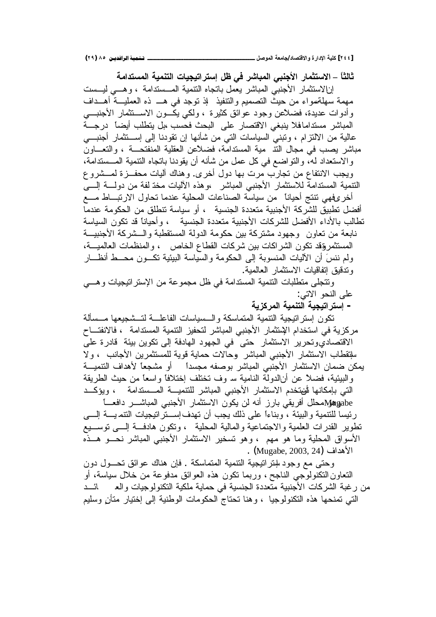ثالثاً – الاستثمار الأجنبي المباشر في ظل إستراتيجيات التنمية المستدامة إنالاستثمار الأجنبي المباشر يعمل باتجاه النتمية المسستدامة ، وهـي ليسست مهمة سهلةسواء من حيث التصميم والنتفيذ ۖ لذ توجد في هــــ ذه العمليـــة أهـــداف وأدوات عديدة، فضلأعن وجود عوائق كثيرة ، ولكي يكـــون الاســــنثمار الأجنبــــي المباشر مستدامافلا ينبغي الاقتصار على البحث فحسب ،بل يتطلب أيضاً درجـــة عالية من الالنزام ، ونبنى السياسات النى من شأنها إن نقودنا إلى إســـنثمار أجنبـــى مباشر يصب في مجال النتـ مية المسندامة، فضلاعن العقلية المنفتحـــة ، والنعـــاون والاستعداد له، والتواضع في كل عمل من شأنه أن يقودنا باتجاه النتمية المــستدامة، ويجب الانتفاع من تجارب مرت بها دول أخرى. وهناك أليات محفــزة لمـــشروع النتمية المستدامة للاستثمار الأجنبي المباشر ،وهذه الأليات مخذ لفة من دولــــة الِــــي أخرِ عفهي نتنج أحياناً من سياسة الصناعات المحلية عندما تحاول الارتبــاط مـــع أفضل تطبيق للشركة الأجنبية متعددة الجنسية ، أو سياسة تتطلق من الحكومة عندما تطالب بالأداء الأفضل للشركات الأجنبية متعددة الجنسية ، وأحيانا قد تكون السياسة نابعة من تعاون ۖ وجهود مشتركة بين حكومة الدولة المستقطبة والـــشركة الأجنبيـــة المستثمروقد تكون الشراكات بين شركات القطاع الخاص ، والمنظمات العالميـــة، ولم ننسَ أن الأليات المنسوبة إلى الحكومة والسياسة الببيئية نكـــون محـــط أنظـــار وتدقيق اتفاقيات الاستثمار العالمية. ونتجلَّى منطلبات النتمية المستدامة في ظل مجموعة من الإسترانيجيات وهـــي على النحو الاتبي: – إسترات**يجية التنمية المركزية** تكون إستراتيجية التتمية المتماسكة والـــسياسات الفاعلــــة لتـــشجيعها مـــسألة مركزية في استخدام الإستثمار الأجنبي المباشر لتحفيز التتمية المستدامة ، فالانفتـــاح الاقتصاديوتحرير الاستثمار حتى في الجهود الهادفة إلى تكوين بيئة قادرة على سلتقطاب الاستثمار الأجنبي المباشر وحالات حماية قوية للمستثمرين الأجانب ، ولا يمكن ضمان الاستثمار الأجنبي المباشر بوصفه مجسداً أو مشجعاً لأهداف التتميـــة والبيئية، فضلاً عن أنالدولة النامية سـ وف تختلف إختلافًا واسعًا من حيث الطريقة التي بإمكانها أتفتخدم الاستثمار الأجنبي المباشر للتنميـــة المـــستدامة ، ويؤكـــد فيههلِ محلل أفريقي بارز أنه لن يكون الاستثمار الأجنبي المباشـــر دافعــــا رئيسا للنتمية والبيئة ، وبناءًا على ذلك يجب أن تهدف إســـنز انتيجيات النتمـيـــة إلــــي نطوير القدرات العلمية والاجتماعية والمالية المحلية ، ونكون هادفة إلـــي نوســـيع الأسواق المحلية وما هو مهم ، وهو تسخير الاستثمار الأجنبي المباشر نحـو هــذه . (Mugabe, 2003, 24) Mugabe, 2003, 24 وحتى مع وجود سنر انتجية التنمية المتماسكة . فإن هناك عوائق تحــول دون

النعاونالنكنولوجي الناجح، وربما نكون هذه العوائق مدفوعة من خلال سياسة، أو من رغبة الشركات الأجنبية متعددة الجنسية في حماية ملكية التكنولوجيات والع للصلف التي تمنحها هذه التكنولوجيا ، وهنا تحتاج الحكومات الوطنية إلى إختيار متأن وسليم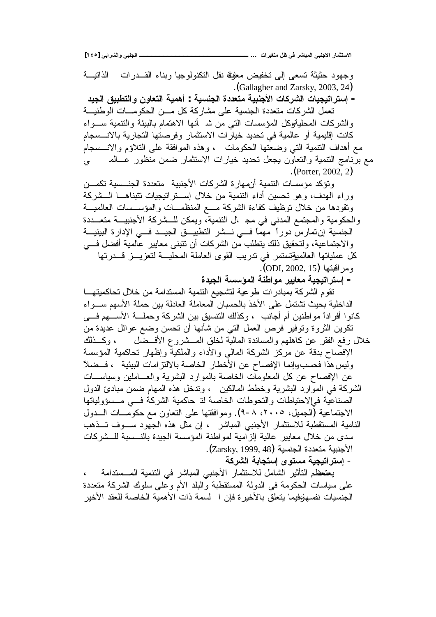**[ÏÑÒ] ƑŕŒŧŬƃŒƍƑŕƄŞƃŒººººººººººººººººººººººººººº ... ŘŒŧƒźřƆ¾ŲƑżŧŬœŕƆƃŒƑŕƈŞƙŒŧœƆśřŪƙŒ**

.(Gallagher and Zarsky, 2003, 24)

– إستراتيجيات الشركات الأجنبية متعددة الجنسية : أهمية التعاون والتطبيق الجيد تعمل الشركات متعددة الجنسية على مشاركة كل مـــن الحكومـــات الوطنيـــة والشركات المحليةوكل المؤسسات التبي من شـ أنها الاهتمام بالبيئة والنتمية ســـواء كانت إقليمية أو عالمية في تحديد خيارات الاستثمار وفرصتها التجارية بالانـــسجام مع أهداف النتمية التبي وضعتها الحكومات ، وهذه الموافقة على التلاؤم والانـــسجام مع برنامج النتمية والنعاون يجعل نحديد خيارات الاستثمار ضمن منظور عــالمـــــــــي .(Porter, 2002, 2) ونؤكد مؤسسات النتمية أنههارة الشركات الأجنبية متعددة الجنسسية تكمـــن وراء المهدف، وهو تحسين أداء التتمية من خلال إســتر اتيجيات تتبناهــا الــشركة ونقودها من خلال نوظيف كفاءة الشركة مــع المنظمـــات والمؤســـسات العالميـــة والحكومية والمجتمع المدني في مجهال النتمية، ويمكن للسشركة الأجنبيـــة متعـــددة الجنسية إن تمارسٌ دورا ۖ مهما فـــي نـــشر النطبيـــق الجيـــد فـــي الإدارة البيئيـــة والاجتماعية، ولتحقيق ذلك يتطلب من الشركات أن تتبنى معايير عالمية أفضل في كل عملياتها العالميؤتستمر في تدريب القوى العاملة المحليـــة لتعزيـــز قـــدرتها .(ODI, 2002, 15) ومر اقبتها – إستراتيجية معايير موا**ط**نة المؤسسة الجيدة نقوم الشركة بمبادرات طوعية لتشجيع النتمية المستدامة من خلال تحاكميتهـــا الداخلية بحيث تشتمل على الأخذ بالحسبان المعاملة العادلة بين حملة الأسهم ســـواء كانوا أفراداً مواطنين أم أجانب ، وكذلك النتسيق بين الشركة وحملـــة الأســـهم فــــى نكوين الثروة ونوفير فرص العمل التي من شأنها أن نحسن وضع عوائل عديدة من خلال رفع الفقر عن كاهلهم والمساندة المالية لخلق المـــشروع الأفـــضل ، وكـــذلك الإفصاح بدقة عن مركز الشركة المالى والأداء والملكية وإظهار تحاكمية المؤسسة وليس هذا فحسب،وإنما الإفصاح عن الأخطار الخاصة بالالتز امات البيئية ، فــضلا عن الإفصاح عن كل المعلومات الخاصة بالموارد البشرية والعـــاملين وسياســـات الشركة في الموارد البشرية وخطط المالكين ، وندخل هذه المهام ضمن مبادئ الدول الصناعية فىالاحتياطات والتحوطات الخاصة لة حاكمية الشركة فـــي مـــسؤولياتها الاجتماعية (الجميل، ٢٠٠٥، ٨-٩). وموافقتها على التعاون مع حكومـــات الــــدول النامية المستقطبة للاستثمار الأجنبي المباشر ، إن مثل هذه الجهود سـوف تــذهب سدي من خلال معابير عالية الز امية لمو اطنة المؤسسة الجيدة بالنــسبة للــشر كات .(لأجنبية متعددة الجنسية (Zarsky, 1999, 48) - إ**ستراتيجية مستوى إستجابة الشركة** بعتعظم التأثير الشامل للاستثمار الأجنبي المباشر في التتمية المسستدامة ، على سياسات الحكومة في الدولة المستقطبة والبلد الأم وعلى سلوك الشركة متعددة الجنسيات نفسهلوفيما يتعلق بالأخيرة فإن اللسمة ذات الأهمية الخاصة للعقد الأخير

وجهود حثيثة تسعى إلى تخفيض معلوفة نقل التكنولوجيا وبناء القـــدرات الذاتيـــة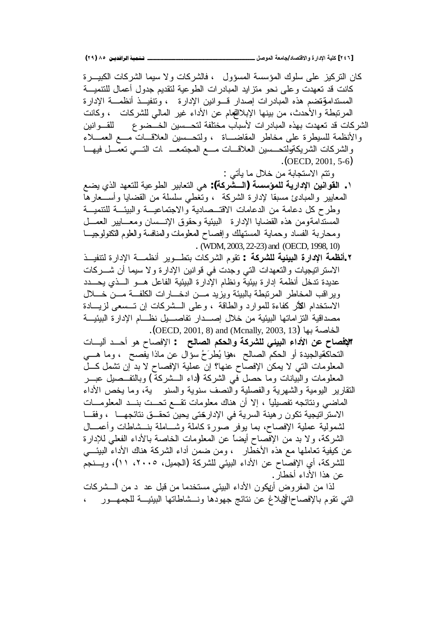كان التركيز على سلوك المؤسسة المسؤول ، فالشركات ولا سيما الشركات الكبيـــرة كانت قد تعهدت وعلىي نحو منزايد الممبادرات الطوعية لتقديم جدول أعمال للتتميـــة المستدامةِقضم هذه المبادرات إصدار قـــوانين الإدارة ، وتنفيـــذ أنظمـــة الإدارة المرتبطة والأحدث، من بينها الإبلاالمجام عن الأداء غير المالي للشركات ، وكانت الشركات قد تعهدت بهذه المبادرات لأسباب مختلفة لتحـــسين الخـــضو ع القـــوانين والأنظمة للسيطرة على مخاطر المقاضـــاة ، ولتحــسين العلاقــات مـــع العمـــلاء والشركات الشريكةولتحسين العلاقـات مــع المجتمعـــ ات التـــى تعمــل فيهـــا .(OECD, 2001, 5-6)

ونتم الاستجابة من خلال ما بأتبي :

- ŶŲƔƒŨƅŔŧƎŸśƆƅřƔŷƏųƅŔũƔŗŕŸśƅŔƓƍ **:(ŗƂŧŬºƃŒ) ŗŪŪŌƆƄƃŗƒŧŒťƗŒƇƒƈŒƍƀƃŒ .**Ï المعابير والمبادئ مسبقا لإدارة الشركة ، وتُغطى سلسلة من القضايا وأســعارها وطرح كل دعامة من الدعامات الاقتــصادية والاجتماعيـــة والبيئـــة للتتميـــة المستدَّامةومن هذه القضايا الإدارة البيئية وحقوق الإنـــسان ومعـــابير العمـــل ومحاربة الفساد وحماية المستهلك وإفصاح المعلومات والعنافسة والعلوم النكنولوجيـــا . (WDM, 2003, 22-23) and (OECD, 1998, 10)
- Ũ»ƔſƊśƅŘũŔŧƙŔř»ƈŴƊŌũƔƏ»ųśŗŚŕƄũŮƅŔƇƏƂś **: ŗƂŧŬƄƃŗƒőƒŕƃŒŖŧŒťƗŒŗƆŲƈŊ.Ï** الاستراتيجيات والنعهدات التي وجدت في قوانين الإدارة ولا سيما أن شــــركات عديدة تدخل أنظمة إدارة بيئية ونظام الإدارة البيئية الفاعل هـــو الـــذي يحـــدد وير اقب المخاطر المرنبطة بالبيئة ويزيد مـــن ادخــــارات الكلفـــة مــــن خــــلال الاستخدام الكُثِّر كفاءة للموارد والطاقة ، وعلى الــشركات إن تــسعى لزيـــادة مصداقية التز اماتها البيئية من خلال إصــدار تفاصـــيل نظـــام الإدار ة البيئيـــة .(OECD, 2001, 8) and (Mcnally, 2003, 13) الخاصة بها
- **الإفصاح عن الأداء البيئي للشركة والحكم الصالح :** الإفصاح هو أحــد آليـــات التحاكمقيالجيدة أو الحكم الصـالـح ،هوا يُطرَحُ سؤال عن مـاذا يفصـح ، وما هـــي المعلومات التي لا يمكن الإفصاح عنها؟ إن عملية الإفصاح لا بد إن تشمل كــل المعلومات والبيانات وما حصل في الشركة (داء الـــشركة ) وبالنفـــصلي عبـــر النقارير البومية والشهرية والفصلية والنصف سنوية والسنو ية، وما يخص الأداء
- المُعاضي ونتائجه تفصيلياً ، إلا أن هناك معلومات تقسع تحست بنسد المعلومـــات الاستراتيجية تكون رهينة السرية في الإدارختي يحين تحقــق نتائجهـــا ، وفقـــا لشمولية عملية الإفصاح، بما يوفر صورة كاملة وشـــاملة بنـــشاطات وأعمــــال الشركة، ولا بد من الإفصاح أيضاً عن المعلومات الخاصة بالأداء الفعلى للإدارة عن كيفية تعاملها مع هذه الأخطار ، ومن ضمن أداء الشركة هناك الأداء البيئـــي للشركة، أي الإفصاح عن الأداء البيئي للشركة (الجميل، ٢٠٠٥، ١١)، ويسنجم عن هذا الأداء أخطار .
- لذا من المفروض أريكون الأداء البيئي مستخدما من قبل عد د من الـــشركات التي نقوم بالإفصاحاللوبلاغ عن نتائج جهودها ونـــشاطاتها البيئيـــة للجمهـــور ،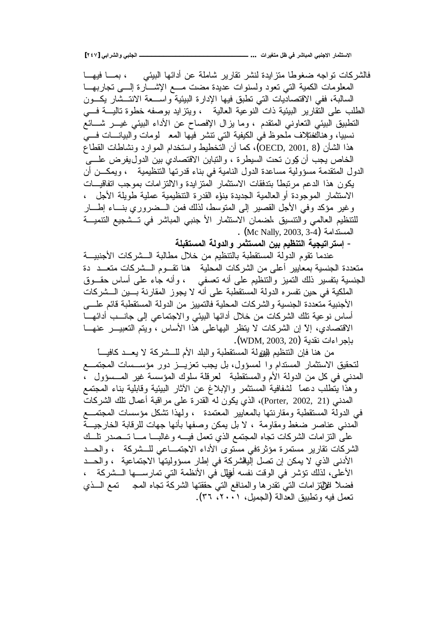**[ÏÑÔ] ƑŕŒŧŬƃŒƍƑŕƄŞƃŒººººººººººººººººººººººººººº ... ŘŒŧƒźřƆ¾ŲƑżŧŬœŕƆƃŒƑŕƈŞƙŒŧœƆśřŪƙŒ**

فالشركات نواجه ضغوطا متزايدة لنشر نقارير شاملة عن أدائها البيئي ، بمـــا فيهـــا المعلومات الكمية التبي نعود ولسنوات عديدة مضت مـــع الإشــــارة اللــــي نجاربهـــا السالبة، ففي الاقتصاديات التبي تطبق فيها الإدارة البيئية وإســـعة الانتـــشار يكــون الطلب على التقارير الببئية ذات النوعية العالية ، ويتزايد بوصفه خطوة تاليــــة فــــي التطبيق البيئي التعاوني المتقدم ، وما يزال الإفصاح عن الأداء البيئي غيــر شـــائع نسبيا، وهناكغنلإف ملحوظ في الكيفية التي نتشر فيها المع لومات والبيانـــات فـــي هذا الشأن (OECD, 2001, 8)، كما أن التخطيط واستخدام الموارد ونشاطات القطاع الخاص يجب أن كِون تحت السيطرة ، والنباين الاقتصادي بين الدوليفرض علـــي الدول المتقدمة مسؤولية مساعدة الدول النامية في بناء قدرتها التنظيمية ، ويمكـــن أن يكون هذا الدعم مرتبطاً بتدفقات الاستثمار المتزايدة والالتزامات بموجب اتفاقيــات الاستثمار الموجودة أو العالمية الجديدة بنوء القدرة التنظيمية عملية طويلة الأجل ، وغير مؤكد وفي الأجل القصير إلى المنوسط، لذلك فمن الــضروري بنـــاء إطـــار للتنظيم العالمي والتنسيق ،لضمان الاستثمار الأ جنبي المباشر في تـــشجيع التنميـــة . (Mc Nally, 2003, 3-4) .

- إستراتيجية التنظيم بين المستثمر والدولة المستقبلة

عندما تقوم الدولة المستقطبة بالتنظيم من خلال مطالبة الــشركات الأجنبيـــة متعددة الجنسية بمعايير أعلى من الشركات المحلية \_ هنا تقـــوم الـــشركات متعـــد\_ دة الْجنسية بتفسير ذلك التميز والتنظيم على أنه تعسفي ، وأنه جاء على أساس حقـــوق الملكية في حين تفسر ه الدولة المستقطبة على أنه لا يجوز المقارنة بسين السشركات الأجنبية متعددة الجنسية والشركات المحلية فالتمييز من الدولة المستقطبة قائم علسى أساس نوعية نلك الشركات من خلال أدائها البيئي والاجتماعي إلى جانـــب أدائهـــا الاقتصادي، إلاّ إن الشركات لا يتظر اليهاعلى هذا الأساس ، ويتم التعبيـــر عنهـــا باجر اءات نقدية (WDM, 2003, 20**)**.

من هنا فإن التنظيم لليوڧلة المستقطبة والبلد الأم للسشركة لا يعسد كافيـــا لتحقيق الاستثمار المستدام وا لمسؤول، بل يجب تعزيــز دور مؤســسات المجتمــع الْمَدْنِي فِي كُلِّ مِنَ الْدُولَةِ الأم والْمُسْتَقْطِبَة ۖ لَعَرْقَلَةُ سِلُوكِ الْمُؤْسِسَةِ غَيْرِ الْمُسْسَؤُولِ ۖ ، وهذا ينطلب دعما ً لشفافية المستثمر والإبلاغ عن الأثار البيئية وقابلية بناء المجتمع الْمَدنِي (Porter, 2002, 21)، الذي يكون له القدرة على مر اقبة أعمال تلك الشركات في الدولة المستقطبة ومقارنتها بالمعابير المعتمدة ، ولهذا تشكل مؤسسات المجتمـــع المدني عناصر ضغط ومقاومة ، لا بل يمكن وصفها بأنها جهات للرقابة الخارجيـــة على التزامات الشركات تجاه المجتمع الذي نعمل فيـــه وغالبـــا مــــا تـــصدر نلـــك الشركات نقارير مستمرة مؤثرةفي مستوى الأداء الاجتمـــاعي للـــشركة ، والحـــد الأدنى الذي لا يمكن إن نصل اليانشركة في إطار مسؤوليتها الاجتماعية ، والحــد الأعلى، لذلك نؤشر في الوقت نفسه أفلِل في الأنظمة التي تمارســـها الـــشركة ، فضلاً للإلتزامات التي نقدرها والمنافع التي حققتها الشركة نجاه المجد متمع السذي نعمل فيه ونطبيق العدالة (الجميل، ٢٠٠١، ٣٦).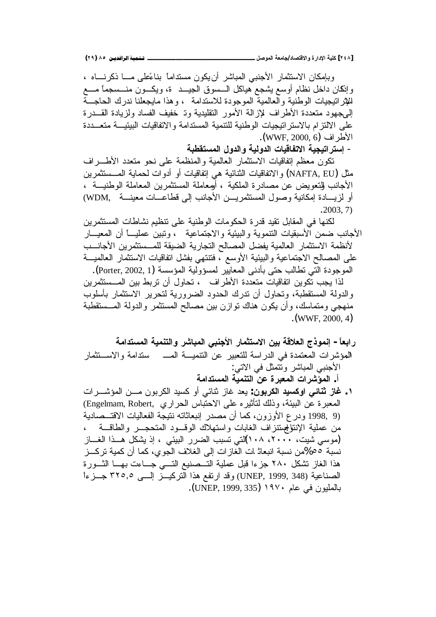وبإمكان الاستثمار الأجنبي المباشر أن يكون مستدامـًا بنـاعَطي مــــا ذكرنــــاه ، وإنكان داخل نظام أوسع يشجع هياكل السسوق الجيـــد ة، ويكـــون منـــسجماً مــــع للإنز لتيجيات الوطنية والعالمية الموجودة للاستدامة ، وهذا مايجعلنا ندرك الحاجـــة الِمُ جهود متعددة الأطراف للإزالة الأمور التقليدية وتـ خفيف الفساد ولزيادة القـــدرة على الالتزام بالاستراتيجيات الوطنية للتنمية المستدامة والاتفاقيات البيئيـــة متعـــددة .(WWF, 2000, 6) الأطر اف

– إستر اتيجية الاتفاقيات الدولية والدول المستقطبة

تكون معظم إنفاقيات الاستثمار العالمية والمنظمة على نحو متعدد الأطـــراف مثل (NAFTA, EU) و الاتفاقيات الثنائية هي إتفاقيات أو أدوات لحماية المــستثمر بن الأجانب للتعويض عن مصادرة الملكية ، أومعاملة المستثمرين المعاملة الوطنيـــة ، أو لزيسادة إمكانية وصول المستثمريين الأجانب إلى قطاعسات معينسة WDM) .2003, 7)

لكنها في المقابل تقيد قدرة الحكومات الوطنية على نتظيم نشاطات المستثمرين الأجانب ضمن الأسبقيات التتموية والبيئية والاجتماعية ، وتبين عمليــــأ أن المعيــــار لأنظمة الاستثمار العالمية يفضل المصالح التجارية الضيقة للمــستثمرين الأجانـــب على المصالح الاجتماعية والبيئية الأوسع ، فتتنهي بفشل اتفاقيات الاستثمار العالميـــة الموجودة التي تطالب حتى بأدنى المعايير لمسؤولية المؤسسة (Porter, 2002, 1). لذا يجب تكوين اتفاقيات متعددة الأطراف ، تحاول أن تربط بين المـــستثمرين والدولة المستقطبة، وتحاول أن ندرك الحدود الضرورية لتحرير الاستثمار بأسلوب منهجي ومتماسك، وأن يكون هناك نوازن بين مصالح المستثمر والدولة المـــستقطبة  $(WWF, 2000, 4)$ 

- ر ا**بعاً إنموذج العلاقة بين الاستثمار الأجنب**ي المباشر والتنمية المستدامة المؤشرات المعتمدة في الدراسة للتعبير عن التتميـــة المــــ ستدامة والاســتثمار الأجنبي المباشر ونتمثل في الاتبي: أ. الموَشر<sub>ِ</sub>ات المعبرِة عن التنمية المستدامة
- ۰ . **غاز ثنائي اوكسيد الكربون**: يعد غاز ثنائي أو كسيد الكربون مـــن المؤشـــرات المعبرة عن البيئة، وذلك لتأثيره على الاحتباس الحراري ,Engelmam, Robert) ودر ع الأوزون، كما أن مصدر إنبعاثاته نتيجة الفعاليات الاقتـــصـادية (1998, 9 من عملية الإنتوالممبتنزاف الغابات واستهلاك الوقـــود المتحجـــر والطاقـــة ، (موسى شيت، ٢٠٠٠، ١٠٨)لتي تسبب الضرر البيئي ، إذ يشكل هــذا الغـــاز نسبة ٥٥%من نسبة انبعاثـ ات الغاز ات إلى الغلاف الجوي، كما أن كمية تركـــز هذا الغاز نشكل ٢٨٠ جزءا قبل عملية التــصنيع التــــى جـــاءت بهـــا الثــــورة الصناعية (UNEP, 1999, 348) وقد ارتفع هذا التركيـــز إلــــي ٣٢٥,٥ جـــزءاً بالمليون في عام ١٩٧٠ (UNEP, 1999, 335).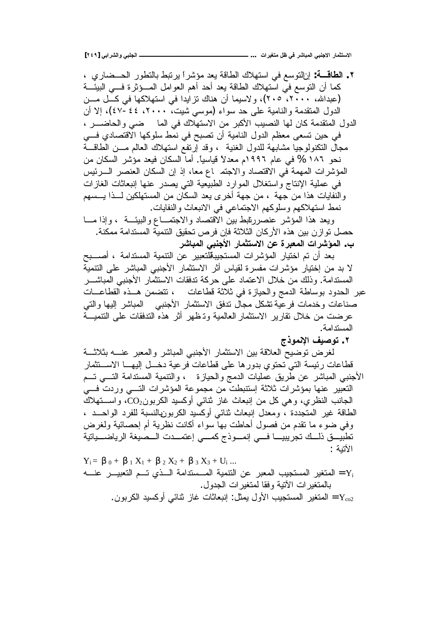**[ÏÑÖ] ƑŕŒŧŬƃŒƍƑŕƄŞƃŒººººººººººººººººººººººººººº ... ŘŒŧƒźřƆ¾ŲƑżŧŬœŕƆƃŒƑŕƈŞƙŒŧœƆśřŪƙŒ**

 ƒũŕŲ»ţƅŔũƏųśƅŕŗųŗśũƔĻŔũŮŎƈŧŸƔřƁŕųƅŔƃƜƎśŬŔƓžŶŬƏśƅŔƉŏ **:ŗºſœűƃŒ .Ï** كما أن النوسع في استهلاك الطاقة يعد أحد أهم العوامل المسؤثرة فسي البيئـــة (عبدالله، ۲۰۰۰، ۲۰۰)، ولاسيما أن هناك نزايدا في استهلاكها في كـــل مـــن الدول المتقدمة والنامية على حد سواء (موسى شيت، ٢٠٠٠، ٤٤-٤٧)، إلا أن الدول المتقدمة كان لها النصيب الأكبر من الاستهلاك في الما ضيى والحاضـــر ، في حين تسعى معظم الدول النامية أن تصبح في نمط سلوكها الاقتصادي فسي مجال النكنولوجيا مشابهة للدول الغنية ، وقد إرتفع استهلاك العالم مـــن الطاقـــة نحو ١٨٦ % في عام ١٩٩٦م معدلاً قياسياً. أما السكان فيعد مؤشر السكان من المؤشرات المهمة في الاقتصاد والاجتم اع معا، إذ إن السكان العنصر الـــرئيس في عملية الإنتاج واستغلال الموارد الطبيعية التي يصدر عنها إنبعاثات الغازات والنفايات هذا من جهة ، من جهة أخرى يعد السكان من المستهلكين لـــذا يــــسهم نمط استهلاكهم وسلوكهم الاجتماعي في الانبعاث والنفايات. ويعد هذا المؤشر عنصررنابط بين الاقتصاد والاجتمــاع والببيئــة ، وإذا مـــا

حصل تو ازن بين هذه الأركان الثلاثة فإن فرص تحقيق النتمية المستدامة ممكنة. ب. المؤشرات المعبرة عن الاستثمار الأجنبي المباشر

بعد أن تم اختيار المؤشرات المستجيبةلتعبير عن التتمية المستدامة ، أصـــبح لا بد من إختيار مؤشرات مفسرة لقياس أثر الاستثمار الأجنبي المباشر على التنمية المستدامة وذلك من خلال الاعتماد على حركة تدفقات الاستثمار الأجنبي المباشـــر عبر الحدود بوساطة الدمج والحيازة في ثلاثة قطاعات ، تتضمن هــذه القطاعــات صناعات وخدمات فرعية تثنكل مجال ندفق الاستثمار الأجنبي المباشر إليها والتي عرضت من خلال نقارير الاستثمار العالمية وتـظهر أثر هذه التدفقات علمي التتميـــة المستدامة.

**ŜŦƍƆƈƗŒŻƒŮƍř .Ï**

لغرض نوضيح العلاقة بين الاستثمار الأجنبي المباشر والمعبر عنسه بثلاثسة قطاعات رئيسة التي تحتوي بدورها على قطاعات فرعية دخــل اليهـــا الاســـتثمار الأجنبي المباشر عن طريق عمليات الدمج والحيازة ، والنتمية المسندامة النسي نسم التعبير عنها بمؤشرات ثلاثة إستنبطت من مجموعة المؤشرات التسى وردت فسى الجانب النظري، وهي كل من إنبعاث غاز نتائي أوكسيد الكربونCO2، واستهلاك الطاقة غير المتجددة ، ومعدل إنبعاث نتائبي أوكسيد الكربونµانسبة للفرد الواحــد ، وفي ضوء ما نقدم من فصول أحاطت بهاً سواء أكانت نظرية أم إحصائية ولغرض تطبيـــــق ذلـــك تجريبيــــا فـــــى إنمــــــــو، إعتمـــدت الــــصيغة الرياضــــياتية الأتبة :

 $Y_i = \beta_0 + \beta_1 X_1 + \beta_2 X_2 + \beta_3 X_3 + U_i$ ... لمتغير المستجيب المعبر عن التتمية المــستدامة الــذي تــم التعبيـــر عنـــه  $Y_i$ بالمتغبر ات الآتبة وفقا لمتغبر ات الجدول. المتغير المستجيب الأولى يمثل: إنبعاثات غاز نتائبي أوكسيد الكربون. [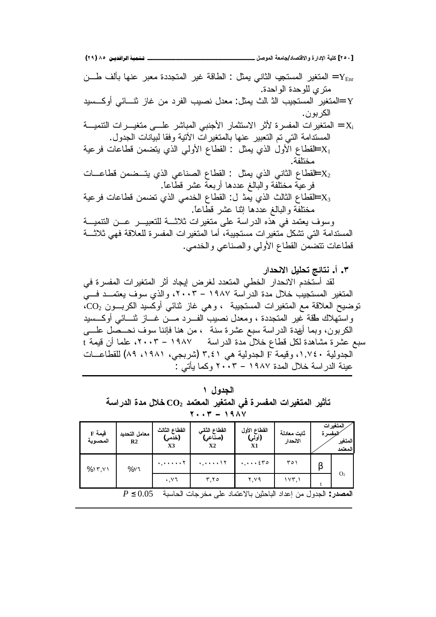**(ÏÖ) ÕÒ ÞNë¢Ë¦×ìÜàN**66666666666666666666666666666666666666666666666666666666666666666666666666666666666666666666666666**¾ŮƍƆƃŒŗŶƆœŞ/ťœŮřſƙŒƍ ŖŧŒťƗŒŗƒƄƂ [ÏÒÍ]** لمتغير المستجي الثاني يمثل : الطاقة غير المتجددة معبر عنها بألف طـــن " المتغير المستجيه الثاني يمثل ا متر ي للوحدة الواحدة. ¥ =المتغير المستجيب الذ الث يمثل: معدل نصبيب الفرد من غاز نثـــائي أوكـــسيد الكر بو ن . المنغيرات المفسرة لأثر الاستثمار الأجنبي المباشر علـــي منغيـــرات التنميـــة = المنغيرات التنميـــة المستدامة التي تم التعبير عنها بالمتغيرات الأنية وفقا لبيانات الجدول. لخقطاع الأول الذي يمثل : القطاع الأولى الذي يتضمن قطاعات فرعية  $\mathrm{X}_1$ مختلفة خفطاع الثاني الذي يمثل : القطاع الصناعي الذي يتــضمن قطاعـــات  $\text{X}_2$ فرعيّة مختلّفة والبالغ عددها أربعة عشر قطّاعاً. لقطاع الثالث الذي يمث ل: القطاع الخدمي الذي تضمن قطاعات فرعية $\text{X}_3$ مختلفة والبالغ عددها إنتـا عشر قطّاعـًا. وسوف بعتمد في هّذه الدراسة على متغيرات ثلاثـــة للتعبيــــر عـــن التتميـــة المستدامة التي تشكل متغيرات مستجيبة، أما المتغيرات المفسرة للعلاقة فهي ثلاثـــة

قطاعات نتضمن القطاع الأولى والصناعي والخدمي.

**ŧŒťšƈƙŒ¾ƒƄšřŝőœřƈ .Ŋ .Ð** لقد أستخدم الانحدار الخطي المتعدد لغرض إيجاد أثر المتغيرات المفسرة في المتغير المستجيب خلال مدة الدراسة ١٩٨٧ – ٢٠٠٣، والذي سوف يعتمــد فـــي نوضيح العلاقة مع المتغيرات المستجيبة ، وهي غاز نثائي أوكسيد الكربــون CO2، واستُهلاك طقة غير المتجددة ، ومعدل نصيب الفـــرد مـــن غـــاز نثنـــائـي أوكـــسيد الكربون، وبما أنهدة الدراسة سبع عشرة سنة ، من هنا فإننا سوف نـحــصل علــــي سبع عشرة مشاهدة لكل قطاع خلالٌ مدة الدراسة ١٩٨٧ – ٢٠٠٣، علما أن قيمة t الجدولية ١,٧٤٠، وفيمة F الجدولية هي ٣,٤١ (شربجي، ١٩٨١، ٨٩) للقطاعــات عينة الدراسة خلال المدة ١٩٨٧ – ٢٠٠٣ وكما يأتـي :

| الجدول ۱                                                                      |  |
|-------------------------------------------------------------------------------|--|
| تأثير المتغيرات المفسرة في المتغير المعتمد $\mathbf{CO_{2}}$ خلال مدة الدراسة |  |
| $Y \cdot Y = 19AY$                                                            |  |

| قيمة F<br>المحسوية | معامل التحديد<br>R <sub>2</sub> | القطاع الثالث<br>(خدمي)<br>X3         | القطاع الثاني<br>(صناعی)<br>X2 | القطاع الأول<br>(أولي)<br>X1                            | ثابت معادلة<br>الانحدار | لمفسرة | المتغير ات<br>المتغير<br>المعتمد |
|--------------------|---------------------------------|---------------------------------------|--------------------------------|---------------------------------------------------------|-------------------------|--------|----------------------------------|
| %17,11             | $%Y$ ٦                          | $\cdot, \cdot \cdot \cdot \cdot \tau$ |                                | $\cdot, \cdot \cdot$ $\epsilon$ $\tau$ $\circ$          | ۲٥۱                     |        |                                  |
|                    |                                 | . v7                                  | ۳.۲٥                           | ۲.۷۹                                                    | ۱۷۳,۱                   |        | O <sub>2</sub>                   |
|                    | $P \leq 0.05$                   |                                       | لى مخرجات الحاسبة              | ا <b>لمصدر</b> : الجدول من إعداد الباحثين بالاعتماد علم |                         |        |                                  |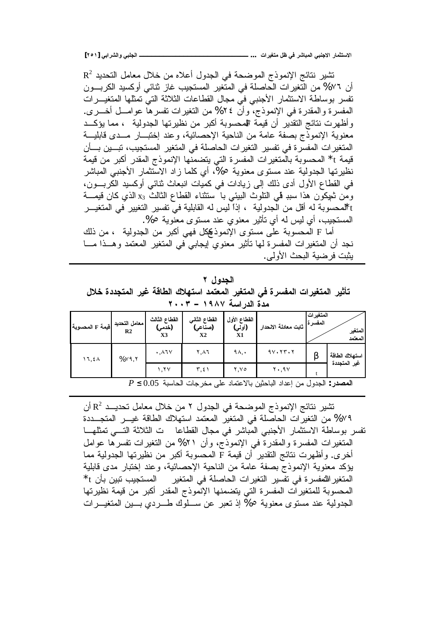**[ÏÒÎ] ƑŕŒŧŬƃŒƍƑŕƄŞƃŒººººººººººººººººººººººººººº ... ŘŒŧƒźřƆ¾ŲƑżŧŬœŕƆƃŒƑŕƈŞƙŒŧœƆśřŪƙŒ**

 $\, {\bf R}^2 \,$  نشير نتائج الإنموذج الموضحة في الجدول أعلاه من خلال معامل التحديد أن ٧٦% من التغيرات الحاصلة في المتغير المستجيب غاز نتائي أوكسيد الكربــون تفسر بوساطة الاستثمار الأجنبي في مجال القطاعات الثلاثة التي تمثلها المتغيـــرات المفسرة والمقدرة في الإنموذج، وأن ٢٤% من التغيرات تفسرها عوامـــل أخـــري. وأظهرت نتائج التقدير أن قيمة المحسوبة أكبر من نظيرتها الجدولية ، مما يؤكــد معنوية الإنموذج بصفة عامة من الناحية الإحصائية، وعند إختبـــار مـــدى قابليـــة المتغير ات المفسرة في تفسير التغير ات الحاصلة في المتغير المستجيب، تبـــين بـــأن قيمة t\* المحسوبة بالمتغيرات المفسرة التي يتضمنها الإنموذج المقدر أكبر من قيمة نظيرتها الجدولية عند مستوى معنوية 0%، أي كلما زاد الاستثمار الأجنبي المباشر في القطاع الأول أدى ذلك إلى زيادات في كميات انبعاث نتائبي أوكسيد الكربــــون، ومن ثعيكون هذا سببـ فمي النثوث البيئي بـا سنتثناء القطاع الثالث x3 الذي كان قيمـــة tلمحسوبة له أقل من الجدولية ، إذا ليس له القابلية في تفسير التغيير في المتغيـــر المستجيب، أي ليس له أي تأثير معنوي عند مستوى معنوية 0%.

أما F المحسوبة على مستوى الإنموذكيكل فهي أكبر من الجدولية ، من ذلك نجد أن المتغيرات المفسرة لمها تأثير معنوي إيجابي في المتغير المعتمد وهــذا مـــا يثبت فرضية البحث الأولى.

الجدو <u>ل</u> ۲ تأثير المتغيرات المفسرة ف*ي* المتغير المعتمد استهلاك الطاقة غير المتجددة خلال مدة الدر اسة **١٩٨٧ –** ٢٠٠٣

| فَيمة F المحسوبة | معامل التحديد<br>R <sub>2</sub> | القطاع الثالث<br>(خدمي)<br>X3         | القطاع الثاني<br>(صناعي)<br>X2 | القطاع الأول<br>(أولي)<br>X1 | أ ثابت معادلة الانحدار                      | المتغيرات<br>المفسرة | المتغير<br>المعتمد |
|------------------|---------------------------------|---------------------------------------|--------------------------------|------------------------------|---------------------------------------------|----------------------|--------------------|
| ۱٦,٤٨            | %Y9,Y                           | $. \lambda$ TV                        | ۲٬۸٦                           | ۹۸,٠                         | $9Y \cdot 7Y \cdot 7$                       | β                    | استهلاك الطاقة     |
|                  |                                 | ۲۷.۱                                  | ۲,٤۱                           | ۲.۷٥                         | $Y \cdot 19V$                               |                      | غير المتجددة       |
|                  |                                 | $D < 0.05$ in $\mathbb{R}$ the single |                                |                              | المصدر المدرارين اعداد الرامثين الاعتراد عا |                      |                    |

**P** ≤ 0.05 **نفصدر** : الجدول من إعداد الباحثين بالاعتماد على مخرجات الحاسبة 0.05 ≥

تثبير نتائج الإنموذج الموضحة في الجدول ٢ من خلال معامل تحديــد  $\mathsf{R}^2$  أن ۷۹% من التغيرات الحاصلة في المتغير المعتمد استهلاك الطاقة غيـــر المتجـــددة نفس بوساطة الاستثمار الأجنبي المباشر في مجال القطاعا ت الثلاثة التـــي تمثلهـــا المتغيرات المفسرة والمقدرة فمي الإنموذج، وأن ٢١% من التغيرات تفسرها عوامل أخرى. وأظهرت نتائج التقدير أن قيمة F المحسوبة أكبر من نظيرتها الجدولية مما بؤكد معنوية الإنموذج بصفة عامة من الناحية الإحصائية، وعند إختبار مدى قابلية  $^{\star}$ t للمتغير اللففسرة في تفسير التغير ات الحاصلة في المتغير المستجيب تبين بأن t المحسوبة للمتغيرات المفسرة التي يتضمنها الإنموذج المقدر أكبر من قيمة نظيرتها الجدولية عند مستوى معنوية 0% إذ تعبر عن ســلوك طـــردي بـــين المتغيـــرات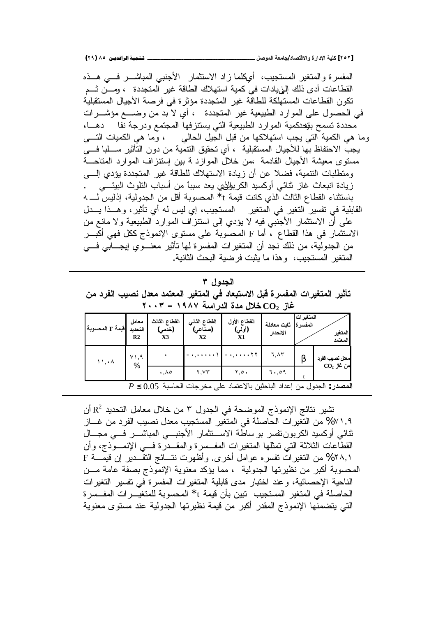**(ÏÖ) ÕÒ ÞNë¢Ë¦×ìÜàN**66666666666666666666666666666666666666666666666666666666666666666666666666666666666666666666666666**¾ŮƍƆƃŒŗŶƆœŞ/ťœŮřſƙŒƍ ŖŧŒťƗŒŗƒƄƂ [ÏÒÏ]**

المفسرة والمتغير المستجيب، أيكلما زاد الاستثمار الأجنبي المباشـــر فـــي هـــذه القطاعات أدى ذلك إلىيادات في كمية استهلاك الطاقة غير المتجددة ، ومـــن ثـــم تكون القطاعات المستهلكة للطاقة غير المتجددة مؤثرة في فرصة الأجيال المستقبلية في الحصول على الموارد الطبيعية غير المتجددة ، أي لا بد من وضـــع مؤشـــرات محددة تسمح بتيحدكمية الموارد الطبيعية التي يستنزفها المجتمع ودرجة نفا دهــا، وما هي الكمية التي يجب استهلاكها من قبل الجيل الحالي ، وما هي الكميات التسي يجبّ الاحتفاظ بـها للأجيال المستقبلية ، أي تحقيق النتمية من دون التأثير ســـلبا فـــي مستوى معيشة الأجيال القادمة ،من خلال الموازد ة بين استنز اف الموارد المتاحـــة ومنطلبات النتمية، فضلا عن أن زيادة الاستهلاك للطاقة غير المتجددة يؤدي إلى زيادة انبعاث غاز ثنائي أوكسيد الكربولافي يعد سبباً من أسباب النلوث البيئــــى باستثناء القطاع الثالث الذي كانت قيمة t\* المحسوبة أقل من الجدولية، إذليس لـــ 4 القابلية في نفسير النغير في المنغير المستجيب، إي ليس له أي نأثير، وهــذا يــدل على أن الاستثمار الأجنّبي فيه لا يؤدي إلى استنزاف الموارد الطبيعية ولا مانـع من الاستثمار في هذا القطاع ، أما F المحسوبة على مستوى الإنموذج ككل فهي أكبـــر من الجدولية، من ذلك نجد أن المتغيرات المفسرة لمها تأثير معنـــوى إيجـــابي فـــي المتغير المستجيب، وهذا ما يثبت فرضية البحث الثانية.

| الجدول ۳                                                                    |  |
|-----------------------------------------------------------------------------|--|
| تأثير المتغيرات المفسرة قبل الاستبعاد في المتغير المعتمد معدل نصيب الفرد من |  |
| غاز $\rm CO_{2}$ خلال مدة الدراسة ١٩٨٧ – ٢٠٠٣                               |  |

| فيمة F المحسوبة            | معامل<br>التحديد<br>R2 | القطاع الثالث<br>(خدمی)<br>X3 | القطاع الثاني<br>(صناعي)<br>Х2 | القطاع الأول<br>(أولي)<br>X1                                                 | ثابت معادلة<br>الانحدار | المتغيرات<br>المفسر ة | المتغير<br>المعتمد |
|----------------------------|------------------------|-------------------------------|--------------------------------|------------------------------------------------------------------------------|-------------------------|-----------------------|--------------------|
| $\mathcal{N}, \mathcal{N}$ | ۰۱.۹<br>%              |                               | $-$ + $+$ + + + + $\Lambda$    | 17                                                                           | ٦,٨٣                    |                       | معل نصيب الفرد     |
|                            |                        | ۸۵. ۰                         | Y.YY                           | 0.۲.۰                                                                        | 0۹. ۱۰                  |                       | $CO2$ من غاز       |
|                            |                        |                               |                                | $P \leq 0.05$ المصدر : الجدول من إعداد الباحثين بالاعتماد على مخرجات الحاسبة |                         |                       |                    |

تثبير نتائج الإنموذج الموضحة في الجدول ٣ من خلال معامل التحديد  $\, {\bf R}^{2} \,$  أن ٧٧١,٩ من التغير ات الحاصلة في المتغير المستجيب معدل نصبيب الفرد من غـــاز ثنائبي أوكسيد الكربوننفسر بو ساطة الاســتثمار الأجنبـــي المباشــــر فــــي مجــــال القطاعات الثلاثة التي تمثلها المتغيرات المفــسرة والمقــدرة فـــي الإنمـــوذج، وأن ا %٢٨, من النغير ات نفسره عوامل أخرى. وأظهرت نتــائج النقــدير إن قيمـــة F المحسوبة أكبر من نظيرتها الجدولية ، مما يؤكد معنوية الإنموذج بصفة عامة مـــن الناحية الإحصائية، وعند اختبار مدى قابلية المتغيرات المفسرة في تفسير التغيرات الحاصلة في المتغير المستجيب تبين بأن قيمة t\* المحسوبة للمتغيّــرات المفــسرة التي يتضمنها الإنموذج المقدر أكبر من قيمة نظيرتها الجدولية عند مستوى معنوية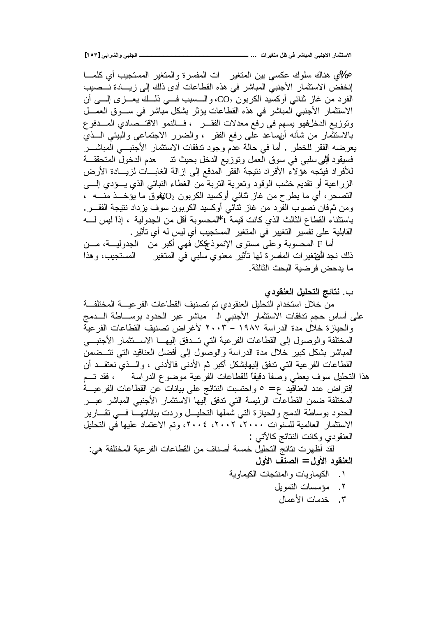**[ÏÒÐ] ƑŕŒŧŬƃŒƍƑŕƄŞƃŒººººººººººººººººººººººººººº ... ŘŒŧƒźřƆ¾ŲƑżŧŬœŕƆƃŒƑŕƈŞƙŒŧœƆśřŪƙŒ**

%0ى هناك سلوك عكسى بين المتغير ات المفسرة والمتغير المستجيب أي كلمــــا إنخفض الاستثمار الأجنبي المباشر في هذه القطاعات أدى ذلك إلى زيسادة نـــصيب الفرد من غاز ثنائي أوكسيد الكربون CO2، والسسبب فسي ذلسك يعسري إلسي أن الاستثمار الأجنبي المباشر في هذه القطاعات يؤثر بشكل مباشر في ســـوق العمـــل وتوزيع الدخلفهو يسهم في رفع معدلات الفقــر ، فـــالنمو الاقتـــصـادي المـــدفوع بالاستثمار من شأنه أرنساعد على رفع الفقر ، والضرر الاجتماعي والبيئي الـــذي يعرضه الفقر للخطر ٬ أما في حالة عدم وجود ندفقات الاستثمار الأجنبـــي المباشـــر فسيقود أللهي سلبي في سوق العمل وتوزيع الدخل بحيث نذ مصحم الدخول المتحققــة للأفر اد فيتجه هؤ لاء الأفر اد نتيجة الفقر المدقع إلى إز الة الغابـــات لزيــــادة الأرض الزراعية أو نقديم خشب الوقود ونعرية النزبة من الغطاء النباتي الذي يـــؤدي إلــــي التصحر، أي ما يطرح من غاز نثائي أوكسيد الكربون  $\mathrm{O}_2$ وق ما يؤخـــذ منــــه ، ومن ثمفان نصديب الفرد من غاز ثنائي أوكسيد الكربون سوف يزداد نتيجة الفقـــر . باستثناء القطاع الثالث الذي كانت قيمة t\*المحسوبة أقل من الجدولية ، إذا ليس لــــه القابلية على تفسير التغيير في المتغير المستجيب أي ليس له أي تأثير .

أما F المحسوبة وعلى مستوى الإنموذككل فهي أكبر من الجدوليـــة، مـــن ذلك نجد الهنغيرات المفسرة لمها تأثير معنوي سلبي في المتغير المستجيب، وهذا ما بدحض فر ضبة البحث الثالثة.

- ب. **نتائج التحليل العنقودي** من خلال استخدام التحليل العنقودي تم تصنيف القطاعات الفر عيسة المختلفـــة على أساس حجم تدفقات الاستثمار الأجنبي الــ مباشر عبر الحدود بوســـاطة الــــدمج والحيازة خلال مدة الدراسة ١٩٨٧ – ٢٠٠٣ لأغراض تصنيف القطاعات الفرعية المختلفة والوصول إلى القطاعات الفرعية التي تــدفق إليهــا الاســتثمار الأجنبـــي المباشر بشكل كبير خلال مدة الدراسة والوصول إلى أفضل العناقيد التي نتسضمن القطاعات الفرعية التي تدفق إليهلشكل أكبر ثم الأدنى فالأدنى ، والـــذي نعتقـــد أن هذا التحليل سوف يعطي وصفاً دقيقاً للقطاعات الفرعية موضوع الدراسة ، فقد تــم افتراض عدد العناقيد ع = 0 واحتسبت النتائج على بيانات عن القطاعات الفرعيـــة المختلفة ضمن القطاعات الرئيسة التي تدفق إليها الاستثمار الأجنبي المباشر عبـــر الحدود بوساطة الدمج والحيازة التي شملها النحليــل وردت بياناتهـــا فـــي نقـــارير الاستثمار العالمية للسنوات ٢٠٠١، ٢٠٠٤، ٢٠٠٤، وتم الاعتماد عليها في التحليل العنقودي وكانت النتائج كالأتبي : لقد أظهرت نتائج التحليل خمسة أصناف من القطاعات الفرعية المختلفة هي: ا**لعنقود الأول = الصنف الأول** 
	- řƔƏŕƈƔƄƅŔŚŕŠśƊƈƅŔƏŚŕƔƏŕƈƔƄƅŔ .Ï
		- ٢. مؤسسات التمويل
			- ٣. خدمات الأعمال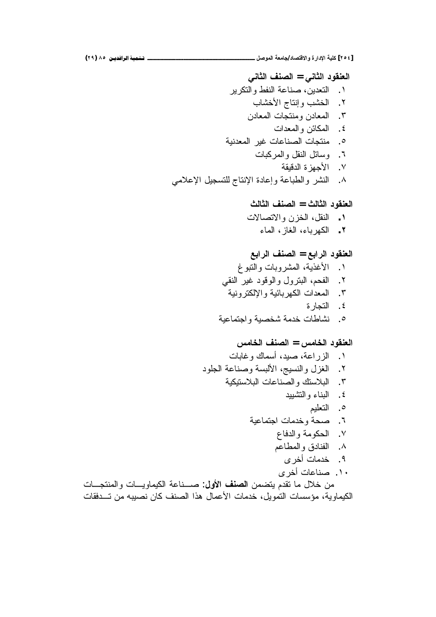# ا**لعنقود الثاني = الصنف الثاني** ١. التعدين، صناعة النفط والتكرير ٢. الخشب وإنتاج الأخشاب ٣. المعادن ومنتجات المعادن ٤. المكائن والمعدات ه. منتجات الصناعات غير المعدنية ۲. وسائل النقل والمركبات Y. الأجهز ة الدقيقة

# ٨. النشر والطباعة وإعادة الإنتاج للتسجيل الإعلامي

## ا**لعنقود الثالث = الصنف الثالث** ŚƛŕŰśƛŔƏƉŪŦƅŔ¿ƂƊƅŔ **.Î**

'nŕƈƅŔŪŕżƅŔ'nŕŗũƎƄƅŔ **.Ï**

# ا**لعنقود الرابع = الصنف الرابع**

- ١. الأغذية، المشروبات والنبوغ ٢. الفحم، البترول والوقود غير النقى ۳. المعدات الكهر بائبة و الإلكتر ونبة ٤. التجار ة ه. نشاطات خدمة شخصية واجتماعية
	-

## ا**لعنقود الخامس = الصنف الخامس**

- ۰ الزر اعة، صبد، أسماك وغابات ٢. الغزل والنسيج، الألبسة وصناعة الجلود řƔƄƔśŬƜŗƅŔŚŕŷŕƊŰƅŔƏƃśŬƜŗƅŔ .Ñ ٤. البناء والتشبيد ٥. النعليم F. صحة وخدمات اجتماعية ٧. الحكومة والدفاع
	- ۸. الفنادق والمطاعم
		- ۹. خدمات أخر ي
		- ۱۰. صناعات أخرى

من خلال ما تقدم بتضمن ا**لصنف الأول**: صـــناعة الكبماويـــات والمنتجـــات الكيماوية، مؤسسات النمويل، خدمات الأعمال هذا الصنف كان نصيبه من تــدفقات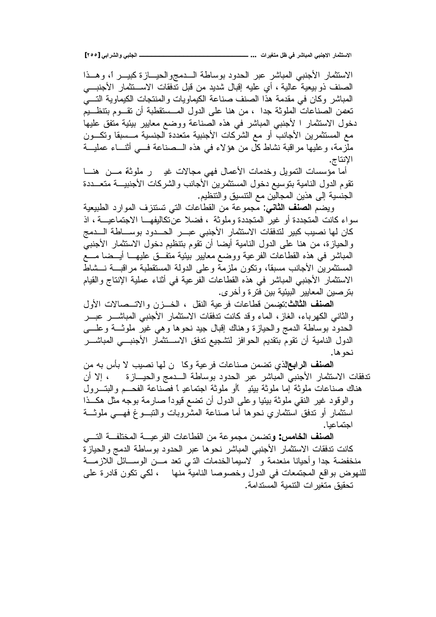**[ÏÒÒ] ƑŕŒŧŬƃŒƍƑŕƄŞƃŒººººººººººººººººººººººººººº ... ŘŒŧƒźřƆ¾ŲƑżŧŬœŕƆƃŒƑŕƈŞƙŒŧœƆśřŪƙŒ**

الاستثمار الأجنبي المباشر عبر الحدود بوساطة الـــدمجوالحيـــازة كبيـــر أ، وهـــذا الصنف ذو بيعية عالية ، أي عليه إقبال شديد من قبل تدفقات الاســـتثمار الأجنبــــي المباشر وكان في مقدمة هذا الصنف صناعة الكيماويات والمنتجات الكيماوية التسي تعصن الصناعات الملوثة جدا ، من هنا على الدول المـــستقطبة أن تقـــوم بتنظـــيم دخول الاستثمار ا لأجنبي المباشر في هذه الصناعة ووضع معايير بيئية متفق عليها مع المستثمرين الأجانب أو مع الشركات الأجنبية متعددة الجنسية مـــسبقا ونكـــون ملّزمة، وعليها مراقبة نشاط كل من هؤلاء في هذه الـــصناعة فـــي أنثـــاء عمليـــة الإنتاج.

أما مؤسسات النمويل وخدمات الأعمال فهي مجالات غدٍ \_ ر ملوثة مـــن هنـــا نقوم الدول النامية بنوسيع دخول المستثمرين الأجانب والشركات الأجنبيـــة متعـــددة الْحِنسية إلى هذين المجالين مع النتسيق والنتظيم.

ويضم ا**لصنف الثاني**: مجموعة من القطاعات التي تستنزف الموارد الطبيعية سواء كانت المتجددة أو غير المتجددة و ملوثة ، فضلا عن تكاليفهـــا الاجتماعيـــة ، اذ كان لمها نصبب كبير لتدفقات الاستثمار الأجنبي عبـــر الحـــدود بوســــاطة الــــدمج والحيازة، من هنا على الدول النامية أيضا أن نقوم بنتظيم دخول الاستثمار الأجنبي المباشر في هذه القطاعات الفرعية ووضع معايير بيئية متفــق عليهـــا أيـــضا مـــع المستثمرين الأجانب مسبقاً، وتكون ملزمة وعلى الدولة المستقطبة مراقبـــة نـــشاط الاستثمار الأجنبي المباشر في هذه القطاعات الفرعية في أثناء عملية الإنتاج والقيام بنر صبن المعابير البيئية بين فتر ة و أخر ي.

ا**لصنف الثالث**:تضمن قطاعات فرعية النقل ، الخــزن والاتــصالات الأول والثاني الكهرباء، الغاز، الماء وقد كانت ندفقات الاستثمار الأجنبي المباشـــر عبـــر المحدود بوساطة الدمج والحيازة وهناك إقبال جيد نحوها وهي غير ملوثـــة وعلــــي الدول النامية أن تقوم بتقديم الحوافز لتشجيع تدفق الاســـنثمار الأجنبــــي المباشــــر نحو ها.

ا**لصنف الرابع**الذي تضمن صناعات فر عبة وكالمن لها نصبب لا بأس به من تَّذَفَقَاتُ الاستثمارِ الأجنبي المباشرِ عبرِ الحدود بوساطة الــــدمج والحيـــازة ، إلا أن هناك صناعات ملوثة إما ملوثة بيئيـ أأو ملوثة اجتماعيـ أ فصناعة الفحــم والبتـــرول والوقود غير النقى ملوثة بيئيا وعلى الدول أن نضع قيوداً صارمة بوجه مثل هكــذا استثمار أو تدفق استثماري نحوها أما صناعة المشروبات والتبـــوغ فهــــي ملوثـــة اجتماعبا.

ا**لصنف الخامس**: ونضمن مجموعة من القطاعات الفرعيـــة المختلفـــة التــــى كانت تدفقات الاستثمار الأجنبي المباشر نحوها عبر الحدود بوساطة الدمج والحيازة منخفضة جدا وأحيانا منعدمة و لاسيما الخدمات الذي نعد مـــن الوســــائل اللازمــــة للنهوض بواقع المجتمعات في الدول وخصوصا النامية منها ، لكي تكون قادرة علي تحقيق متغير ات النتمية المستدامة.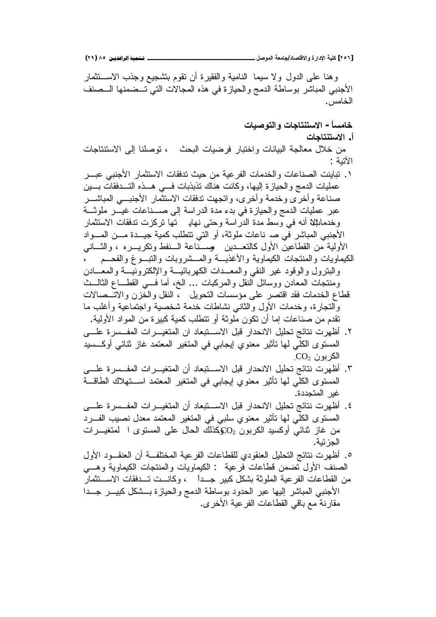وهنا على الدول ولا سيما النامية والفقيرة أن نقوم بتشجيع وجذب الاســـنثمار الاجنبي المباشر بوساطة الدمج والحيازة في هذه المجالات التي تــضمنها الـــصنف الخامس .

## خامساً – الاستنتاجات والتوصيات

أ. **الاستنتاجات** 

من خلال معالجة البيانات واختبار فرضيات البحث ، توصلنا إلى الاستتناجات الأتنة :

- ١. تباينت الصناعات والخدمات الفرعية من حيث تدفقات الاستثمار الأجنبي عبـــر عمليات الدمج والحيازة اليها، وكانت هناك تذبذبات فسي هــذه التـــدفقات بـــين صناعة وأخرى وخدمة وأخرى، واتجهت تدفقات الاستثمار الأجنبـــي المباشـــر عبر عمليات الدمج والحيازة في بدء مدة الدراسة إلى صـــناعات غيـــر ملوثـــة وخدماطٍلا أنه في وسط مدة الدراسة وحتى نهايى تها تركزت تدفقات الاستثمار الأجنبي المباشر في صد ناعات ملوثة، أو التي نتطلب كمية جيـــدة مـــن المـــواد الأولية من القطاعين الأول كالنعــدين ۖ وســناعة الــنفط ونكريـــره ، والثـــانـي الكيماويات والمنتجات الكيماوية والأغذيـــة والمـــشروبات والنتبـــوغ والفحـــم ، والبنرول والوقود غير النقى والمعــدات الكهربائيـــة والإلكترونيـــة والمعـــادن ومنتجات المعادن ووسائل النقل والمركبات … الخ، أما فسي القطـــاع الثالـــث فَطَاعِ الْخَدَمَاتِ فَقَدِ اقْتَصْرِ عَلَى مؤسساتِ النَّحويلِ ، النَّقل والْخَزْنِ والآتــصالات والنجارة، وخدمات الأول والثانبي نشاطات خدمة شخصية واجتماعية وأغلب ما تقدم من صناعات إما أن تكون ملوثة أو تتطلب كمية كبير ة من المواد الأولية.
- ۲. أظهرت نتائج تحليل الانحدار قبل الاســـتبعاد ان المتغيـــرات المفـــسرة علــــي المستوى الكلّي لمها تأثير معنوي إيجابي في المتغير المعتمد غاز نثائي أوكـــسيد  $\rm CO_2$  الكر بو ن
- ٣. أظهرت نتائج تحليل الانحدار قبل الاســتبعاد أن المتغيـــرات المفـــسرة علــــي المستوى الكلّي لمها تأثير معنوي إيجابي في المتغير المعتمد اســتهلاك الطاقـــة غير المتجددة.
- ٤. أظهرت نتائج تحليل الانحدار قبل الاســتبعاد أن المتغيـــرات المفـــسرة علــــي المستوى الكلي لمها تأثير معنوي سلبي في المتغير المعتمد معدل نصبيب الفـــرد من غاز ثنائي أوكسيد الكربون O2كذلك الحال على المستوى ا لمتغيـــرات الجزئية.
- ○. أظهرت نتائج التحليل العنقودي للقطاعات الفرعية المختلفــة أن العنقـــود الأول الصنف الأول تضمن قطاعات فرعية : الكيماويات والمنتجات الكيماوية وهــي من القطاعات الفرعية الملوثة بشكل كبير جــداً ، وكانـــت تــدفقات الاســـتثمار
- الأجنبي المباشر إليها عبر الحدود بوساطة الدمج والحيازة بـــشكل كبيـــر جـــدا مقارنة مع باقي القطاعات الفرعية الأخر ي.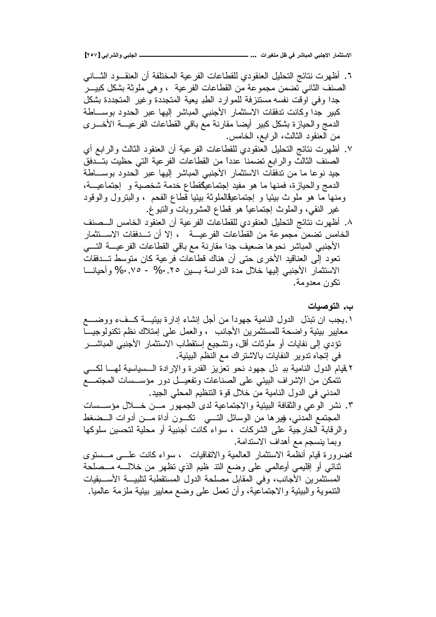**[ÏÒÔ] ƑŕŒŧŬƃŒƍƑŕƄŞƃŒººººººººººººººººººººººººººº ... ŘŒŧƒźřƆ¾ŲƑżŧŬœŕƆƃŒƑŕƈŞƙŒŧœƆśřŪƙŒ**

٦. أظهرت نتائج التحليل العنقودي للقطاعات الفرعية المختلفة أن العنقـــود الثــــاني الصنف الثاني تضمن مجموعة من القطاعات الفرعية ، و هي ملوثة بشكل كبيـــر جدًا وفي اوقت نفسه مستنزفة للموارد الطد يعية المتجددة وغير المتجددة بشكل كبير جدا وكانت تدفقات الاستثمار الأجنبى المباشر إليها عبر الحدود بوســـاطة الدمج والحيازة بشكل كبير أيضا مقارنة مع باقي القطاعات الفرعيـــة الأخـــري من العنقود الثالث، الرابع، الخامس.

Y. أظهر ت نتائج التحليل العنقودي للقطاعات الفر عية أن العنقود الثالث والر ابـع أي الصنف الثالث والرابع تضمنا عدداً من القطاعات الفرعية التي حظيت بتــدفق جيد نوعا ما من تدفقات الاستثمار الأجنبي المباشر إليها عبر الحدود بوســـاطة الدمج والحيازة، فمنها ما هو مفيد إجتماعيكقطاع خدمة شخصية و إجتماعيـــة، ومنها ما هو ملوث بيئيا و إجتماعيڤالملوثة بيئيا قطاع الفحم ، والبترول والوقود غير النقي، والملوث إجتماعيًا هو قطاع المشروبات والنبوغ.

٨. أظهرت نتائج التحليل العنقودي للقطاعات الفرعية أن العنقود الخامس الـــصنف الخامس نضمن مجموعة من القطاعات الفرعيـــة ، إلا أن تـــدفقات الاســـنثمار الأجنبي المباشر نحوها ضعيف جدا مقارنة مع باقي القطاعات الفرعيــــة التــــي تعود إلى العناقيد الأخرى حتى أن هناك قطاعات فرعية كان متوسط تــدفقات الاستثمار الأجنبي اليها خلال مدة الدر اسة بسين ٠,٢٥% - ٠,٧٥% و أحيانسا تكون معدومة.

ب . التوصيات

- ۰ يجب ان تبذل الدول النامية جهوداً من أجل إنشاء إدارة بيئيـــة كـــفء ووضــــع معايير بيئية واضحة للمستثمرين الأجانب ، والعمل على إمتلاك نظم تكنولوجيـــا تؤدي إلى نفايات أو ملوثات أقل، ونشجيع إستقطاب الاستثمار الأجنبي المباشــــر في إتجاه ندوير النفايات بالاشتراك مع النظم البيئية.
- ۲ قيام الدول النامية ببـ ذل جهود نحو تعزيز القدرة والإرادة الـــسياسية لهـــا لكـــي تتمكن من الإشراف البيئي على الصناعات وتفعيــل دور مؤســسات المجتمـــع المدني في الدول النامية من خلال قوة النتظيم المحلي الجيد.
- ٣. نشر الوعي والثقافة البيئية والاجتماعية لدى الجمهور مــن خـــلال مؤســسات المجتمع المدنبي، فيبرها من الوسائل التــــي نكـــون أداة مــــن أدوات الـــضغط والرقابة الخارجية على الشركات ، سواء كانت أجنبية أو محلية لتحسين سلوكها وبما ينسجم مع أهداف الاستدامة.
- مخضرورة قيام أنظمة الاستثمار العالمية والاتفاقيات ، سواء كانت علسى مـــستوى ثنائبي أو إقليمي أوعالمي على وضع النذ ظيم الذي نظهر من خلالــــه مـــصلحة المستثمرين الأجانب، وفي المقابل مصلحة الدول المستقطبة لتلبيـــة الأســـبقيات النتموية والبيئية والاجتماعية، وأن تعمل على وضع معابير بيئية ملزمة عالميا.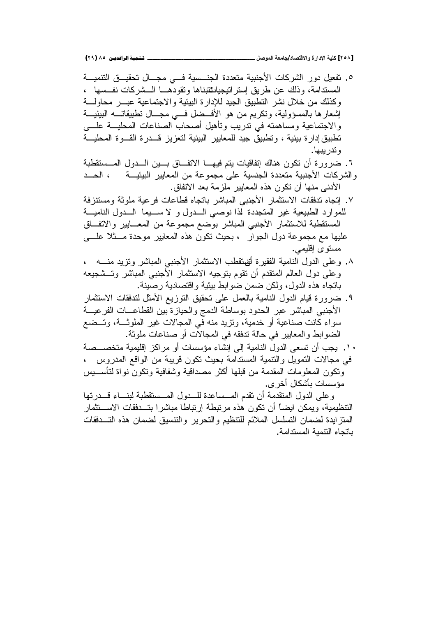°. تفعيل دور الشركات الأجنبية متعددة الجنسية فـــى مجـــال تحقيـــق التتميـــة المسندامة، وذلك عن طريق إسترانتيجيانثتبناها وتقودهـــا الـــشركات نفـــسها ، وكذلك من خلال نشر النطبيق الجيد للإدارة البيئية والاجتماعية عبـــر محاولــــة إشعارها بالمسؤولية، وتكريم من هو الأفــضل فـــي مجـــال تطبيقاتـــه البيئيـــة والاجتماعية ومساهمته في تدريب وتأهيل أصحاب الصناعات المحليـــة علــــى تطبيق[دارة بيئية ، وتطبيق جيد للمعايير البيئية لتعزيز قـــدرة القـــوة المحليـــة و ندر بيبها.

۲. ضرورة أن تكون هناك إتفاقيات يتم فيهـــا الاتفـــاق بـــين الـــدول المـــستقطبة والشركات الأجنبية متعددة الجنسية على مجموعة من المعايير البيئيـــة ، الحـــد الأدني منها أن تكون هذه المعايير ملزمة بعد الاتفاق.

- Y. إنجاه تدفقات الاستثمار الأجنبي المباشر باتجاه قطاعات فرعية ملوثة ومستنزفة للموارد الطبيعية غير المتجددة لذا نوصبي الــدول و لا ســـيما الـــدول الناميـــة المستقطبة للاستثمار الأجنبي المباشر بوضع مجموعة من المعـــابير والاتفـــاق عليها مع مجموعة دول الجوار ، بحيث نكون هذه المعايير موحدة مـــثلا علــــي مستوى إقلي*مي*.
- ×. وعلى الدول النامية الفقيرة أتفتقطب الاستثمار الأجنبي المباشر وتزيد منـــه ، وعلى دول العالم المتقدم أن نقوم بنوجيه الاستثمار الأجنبي المباشر وتـــشجيعه باتجاه هذه الدول، ولكن ضمن ضوابط بيئية واقتصادية رصينة.
- ٩. ضىرورة قيام الدول النامية بالعمل على تحقيق التوزيع الأمثل لتدفقات الاستثمار الأجنبي المباشر عبر الحدود بوساطة الدمج والحيازة بين القطاعـــات الفرعيـــة سواء كانت صناعية او خدمية، ونزيد منه في المجالات غير الملوثـــة، وتـــضـع الضوابط والمعايير في حالة تدفقه في المجالات أو صناعات ملوثة.
- ۰ ٬ . يجب أن تسعى الدول النامية إلى إنشاء مؤسسات أو مر اكز إقليمية متخصـــصـة في مجالات التمويل والتتمية المستدامة بحيث تكون قريبة من الواقع المدروس ، وتكون المعلومات المقدمة من قبلها أكثر مصداقية وشفافية وتكون نواة لتأســـيس مؤسسات بأشكال أخر ي.

وعلى الدول المتقدمة أن تقدم المـــساعدة للـــدول المـــستقطبة لبنــــاء قـــدرتها التنظيمية، ويمكن ايضاً أن نكون هذه مرتبطة إرتباطا مباشرا بتــدفقات الاســتثمار المنز ايدة لضمان النسلسل الملائم للتنظيم والنحرير والنتسيق لضمان هذه التسدفقات باتجاه النتمبة المستدامة.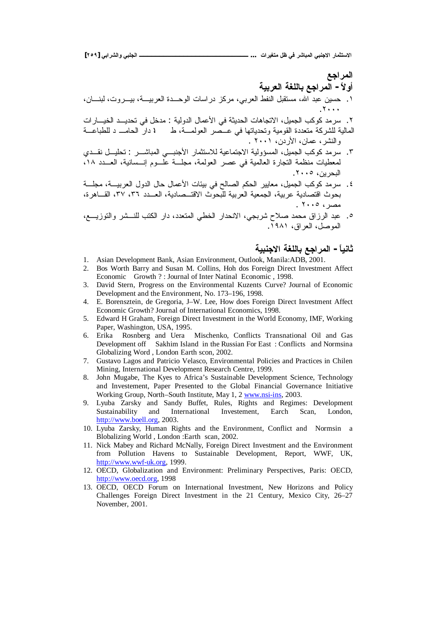**[ÏÒÖ] ƑŕŒŧŬƃŒƍƑŕƄŞƃŒººººººººººººººººººººººººººº ... ŘŒŧƒźřƆ¾ŲƑżŧŬœŕƆƃŒƑŕƈŞƙŒŧœƆśřŪƙŒ**

## المراجع أو لأ – العر لجع باللغة العربية

- ۱ ـ حسين عبد الله، مستقبل النفط العربي، مركز دراسات الوحــدة العربيـــة، بيـــروت، لبنــــان، . $\mathbf{y} \leftrightarrow \mathbf{y}$
- ۲. سرمد كوكب الجميل، الاتجاهات الحديثة في الأعمال الدولية : مدخل في تحديــد الخيـــارات العالية للشركة متعددة القومية وتحدياتها في عــصر العولمـــة، ط فم دارٍّ الحامـــ د للطباعـــة و النشر ، عمان، الأردن، ٢٠٠١ .
- ٣. سرمد كوكب الجميل، المسؤولية الاجتماعية للاستثمار الأجنبــي المباشـــر : تحليـــل نقـــدي لمعطيات منظمة التجارة العالمية في عصر العولمة، مجلسة علسوم إنسسانية، العسدد ١٨، البحرين، ٢٠٠٥.
- ٤. سرمد كوكب الجميل، معايير الحكم الصالح في بيئات الأعمال حال الدول العربيـــة، مجلـــة بحوث اقتصادية عربية، الجمعية العربية للّبحوث الاقتــصادية، العـــدد ٣٦، ٤٢٧، القـــاهرة،  $\overline{\phantom{a}1}$ .  $\overline{\phantom{a}1}$
- ه ـ عبد الرزاق محمد صلاح شربجي، الانحدار الخطي المتعدد، دار الكتب للنـــشر والتوزيـــع، الموصل، العراق، ۱۹۸۱.

## ثانياً – المرا**جع باللغة الاجنبية**

- 1. Asian Development Bank, Asian Environment, Outlook, Manila:ADB, 2001.
- 2. Bos Worth Barry and Susan M. Collins, Hoh dos Foreign Direct Investment Affect Economic Growth ? : Journal of Inter Natinal Economic , 1998.
- 3. David Stern, Progress on the Environmental Kuzents Curve? Journal of Economic Development and the Environment, No. 173–196, 1998.
- 4. E. Borensztein, de Gregoria, J–W. Lee, How does Foreign Direct Investment Affect Economic Growth? Journal of International Economics, 1998.
- 5. Edward H Graham, Foreign Direct Investment in the World Economy, IMF, Working Paper, Washington, USA, 1995.
- 6. Erika Rosnberg and Uera Mischenko, Conflicts Transnational Oil and Gas Development off Sakhim Island in the Russian For East : Conflicts and Normsina Globalizing Word , London Earth scon, 2002.
- 7. Gustavo Lagos and Patricio Velasco, Environmental Policies and Practices in Chilen Mining, International Development Research Centre, 1999.
- 8. John Mugabe, The Kyes to Africa's Sustainable Development Science, Technology and Investement, Paper Presented to the Global Financial Governance Initiative Working Group, North–South Institute, May 1, 2 www.nsi-ins, 2003.
- 9. Lyuba Zarsky and Sandy Buffet, Rules, Rights and Regimes: Development Sustainability and International Investement, Earch Scan, London, [http://www.boell.org,](http://www.boell.org) 2003.
- 10. Lyuba Zarsky, Human Rights and the Environment, Conflict and Normsin a Blobalizing World , London :Earth scan, 2002.
- 11. Nick Mabey and Richard McNally, Foreign Direct Investment and the Environment from Pollution Havens to Sustainable Development, Report, WWF, UK, [http://www.wwf-uk.org,](http://www.wwf-uk.org) 1999.
- 12. OECD, Globalization and Environment: Preliminary Perspectives, Paris: OECD, [http://www.oecd.org,](http://www.oecd.org) 1998
- 13. OECD, OECD Forum on International Investment, New Horizons and Policy Challenges Foreign Direct Investment in the 21 Century, Mexico City, 26–27 November, 2001.